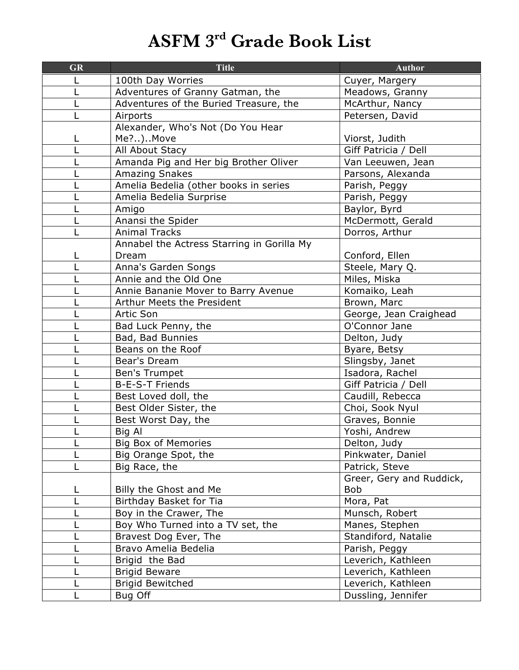## **ASFM 3rd Grade Book List**

| <b>GR</b> | <b>Title</b>                               | <b>Author</b>            |
|-----------|--------------------------------------------|--------------------------|
|           | 100th Day Worries                          | Cuyer, Margery           |
|           | Adventures of Granny Gatman, the           | Meadows, Granny          |
|           | Adventures of the Buried Treasure, the     | McArthur, Nancy          |
|           | Airports                                   | Petersen, David          |
|           | Alexander, Who's Not (Do You Hear          |                          |
|           | Me?)Move                                   | Viorst, Judith           |
|           | All About Stacy                            | Giff Patricia / Dell     |
|           | Amanda Pig and Her big Brother Oliver      | Van Leeuwen, Jean        |
|           | <b>Amazing Snakes</b>                      | Parsons, Alexanda        |
|           | Amelia Bedelia (other books in series      | Parish, Peggy            |
|           | Amelia Bedelia Surprise                    | Parish, Peggy            |
|           | Amigo                                      | Baylor, Byrd             |
|           | Anansi the Spider                          | McDermott, Gerald        |
|           | <b>Animal Tracks</b>                       | Dorros, Arthur           |
|           | Annabel the Actress Starring in Gorilla My |                          |
|           | Dream                                      | Conford, Ellen           |
|           | Anna's Garden Songs                        | Steele, Mary Q.          |
|           | Annie and the Old One                      | Miles, Miska             |
|           | Annie Bananie Mover to Barry Avenue        | Komaiko, Leah            |
|           | Arthur Meets the President                 | Brown, Marc              |
|           | <b>Artic Son</b>                           | George, Jean Craighead   |
|           | Bad Luck Penny, the                        | O'Connor Jane            |
|           | Bad, Bad Bunnies                           | Delton, Judy             |
|           | Beans on the Roof                          | Byare, Betsy             |
|           | Bear's Dream                               | Slingsby, Janet          |
|           | Ben's Trumpet                              | Isadora, Rachel          |
|           | <b>B-E-S-T Friends</b>                     | Giff Patricia / Dell     |
|           | Best Loved doll, the                       | Caudill, Rebecca         |
|           | Best Older Sister, the                     | Choi, Sook Nyul          |
|           | Best Worst Day, the                        | Graves, Bonnie           |
|           | Big Al                                     | Yoshi, Andrew            |
|           | <b>Big Box of Memories</b>                 | Delton, Judy             |
|           | Big Orange Spot, the                       | Pinkwater, Daniel        |
|           | Big Race, the                              | Patrick, Steve           |
|           |                                            | Greer, Gery and Ruddick, |
|           | Billy the Ghost and Me                     | <b>Bob</b>               |
|           | Birthday Basket for Tia                    | Mora, Pat                |
|           | Boy in the Crawer, The                     | Munsch, Robert           |
|           | Boy Who Turned into a TV set, the          | Manes, Stephen           |
|           | Bravest Dog Ever, The                      | Standiford, Natalie      |
|           | Bravo Amelia Bedelia                       | Parish, Peggy            |
|           | Brigid the Bad                             | Leverich, Kathleen       |
|           | <b>Brigid Beware</b>                       | Leverich, Kathleen       |
|           | <b>Brigid Bewitched</b>                    | Leverich, Kathleen       |
|           | Bug Off                                    | Dussling, Jennifer       |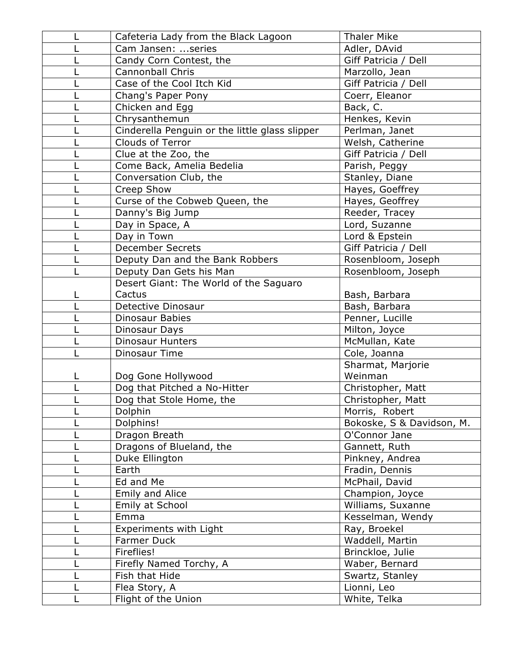|   | Cafeteria Lady from the Black Lagoon           | <b>Thaler Mike</b>        |
|---|------------------------------------------------|---------------------------|
|   | Cam Jansen: series                             | Adler, DAvid              |
|   | Candy Corn Contest, the                        | Giff Patricia / Dell      |
|   | <b>Cannonball Chris</b>                        | Marzollo, Jean            |
|   | Case of the Cool Itch Kid                      | Giff Patricia / Dell      |
|   | Chang's Paper Pony                             | Coerr, Eleanor            |
|   | Chicken and Egg                                | Back, C.                  |
|   | Chrysanthemun                                  | Henkes, Kevin             |
|   | Cinderella Penguin or the little glass slipper | Perlman, Janet            |
|   | Clouds of Terror                               | Welsh, Catherine          |
|   | Clue at the Zoo, the                           | Giff Patricia / Dell      |
|   | Come Back, Amelia Bedelia                      | Parish, Peggy             |
|   | Conversation Club, the                         | Stanley, Diane            |
|   | Creep Show                                     | Hayes, Goeffrey           |
|   | Curse of the Cobweb Queen, the                 | Hayes, Geoffrey           |
|   | Danny's Big Jump                               | Reeder, Tracey            |
|   | Day in Space, A                                | Lord, Suzanne             |
|   | Day in Town                                    | Lord & Epstein            |
|   | <b>December Secrets</b>                        | Giff Patricia / Dell      |
|   | Deputy Dan and the Bank Robbers                | Rosenbloom, Joseph        |
|   | Deputy Dan Gets his Man                        | Rosenbloom, Joseph        |
|   | Desert Giant: The World of the Saguaro         |                           |
|   | Cactus                                         | Bash, Barbara             |
|   | Detective Dinosaur                             | Bash, Barbara             |
|   | <b>Dinosaur Babies</b>                         | Penner, Lucille           |
|   | Dinosaur Days                                  | Milton, Joyce             |
|   | <b>Dinosaur Hunters</b>                        | McMullan, Kate            |
|   | Dinosaur Time                                  | Cole, Joanna              |
|   |                                                | Sharmat, Marjorie         |
| L | Dog Gone Hollywood                             | Weinman                   |
|   | Dog that Pitched a No-Hitter                   | Christopher, Matt         |
|   | Dog that Stole Home, the                       | Christopher, Matt         |
|   | Dolphin                                        | Morris, Robert            |
|   | Dolphins!                                      | Bokoske, S & Davidson, M. |
|   | Dragon Breath                                  | O'Connor Jane             |
|   | Dragons of Blueland, the                       | Gannett, Ruth             |
|   | Duke Ellington                                 | Pinkney, Andrea           |
|   | Earth                                          | Fradin, Dennis            |
|   | Ed and Me                                      | McPhail, David            |
|   | Emily and Alice                                | Champion, Joyce           |
|   | Emily at School                                | Williams, Suxanne         |
|   | Emma                                           | Kesselman, Wendy          |
|   | <b>Experiments with Light</b>                  | Ray, Broekel              |
|   | Farmer Duck                                    | Waddell, Martin           |
|   | Fireflies!                                     | Brinckloe, Julie          |
|   | Firefly Named Torchy, A                        | Waber, Bernard            |
|   | Fish that Hide                                 | Swartz, Stanley           |
|   | Flea Story, A                                  | Lionni, Leo               |
|   | Flight of the Union                            | White, Telka              |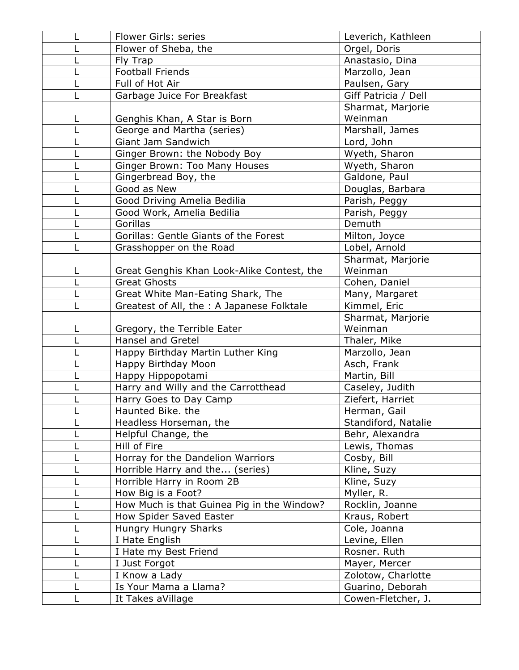| Flower Girls: series                                    | Leverich, Kathleen           |
|---------------------------------------------------------|------------------------------|
| Flower of Sheba, the                                    | Orgel, Doris                 |
| Fly Trap                                                | Anastasio, Dina              |
| <b>Football Friends</b>                                 | Marzollo, Jean               |
| Full of Hot Air                                         | Paulsen, Gary                |
| Garbage Juice For Breakfast                             | Giff Patricia / Dell         |
|                                                         | Sharmat, Marjorie            |
| Genghis Khan, A Star is Born                            | Weinman                      |
| George and Martha (series)                              | Marshall, James              |
| Giant Jam Sandwich                                      | Lord, John                   |
| Ginger Brown: the Nobody Boy                            | Wyeth, Sharon                |
| Ginger Brown: Too Many Houses                           | Wyeth, Sharon                |
| Gingerbread Boy, the                                    | Galdone, Paul                |
| Good as New                                             | Douglas, Barbara             |
| Good Driving Amelia Bedilia                             | Parish, Peggy                |
| Good Work, Amelia Bedilia                               | Parish, Peggy                |
| Gorillas                                                | Demuth                       |
| Gorillas: Gentle Giants of the Forest                   | Milton, Joyce                |
| Grasshopper on the Road                                 | Lobel, Arnold                |
|                                                         | Sharmat, Marjorie            |
| Great Genghis Khan Look-Alike Contest, the              | Weinman                      |
| <b>Great Ghosts</b>                                     | Cohen, Daniel                |
| Great White Man-Eating Shark, The                       | Many, Margaret               |
| Greatest of All, the : A Japanese Folktale              | Kimmel, Eric                 |
|                                                         | Sharmat, Marjorie<br>Weinman |
| Gregory, the Terrible Eater<br><b>Hansel and Gretel</b> | Thaler, Mike                 |
| Happy Birthday Martin Luther King                       | Marzollo, Jean               |
| Happy Birthday Moon                                     | Asch, Frank                  |
| Happy Hippopotami                                       | Martin, Bill                 |
| Harry and Willy and the Carrotthead                     | Caseley, Judith              |
| Harry Goes to Day Camp                                  | Ziefert, Harriet             |
| Haunted Bike. the                                       | Herman, Gail                 |
| Headless Horseman, the                                  | Standiford, Natalie          |
| Helpful Change, the                                     | Behr, Alexandra              |
| Hill of Fire                                            | Lewis, Thomas                |
| Horray for the Dandelion Warriors                       | Cosby, Bill                  |
| Horrible Harry and the (series)                         | Kline, Suzy                  |
| Horrible Harry in Room 2B                               | Kline, Suzy                  |
| How Big is a Foot?                                      | Myller, R.                   |
| How Much is that Guinea Pig in the Window?              | Rocklin, Joanne              |
| How Spider Saved Easter                                 | Kraus, Robert                |
| Hungry Hungry Sharks                                    | Cole, Joanna                 |
| I Hate English                                          | Levine, Ellen                |
| I Hate my Best Friend                                   | Rosner. Ruth                 |
| I Just Forgot                                           | Mayer, Mercer                |
| I Know a Lady                                           | Zolotow, Charlotte           |
| Is Your Mama a Llama?                                   | Guarino, Deborah             |
| It Takes aVillage                                       | Cowen-Fletcher, J.           |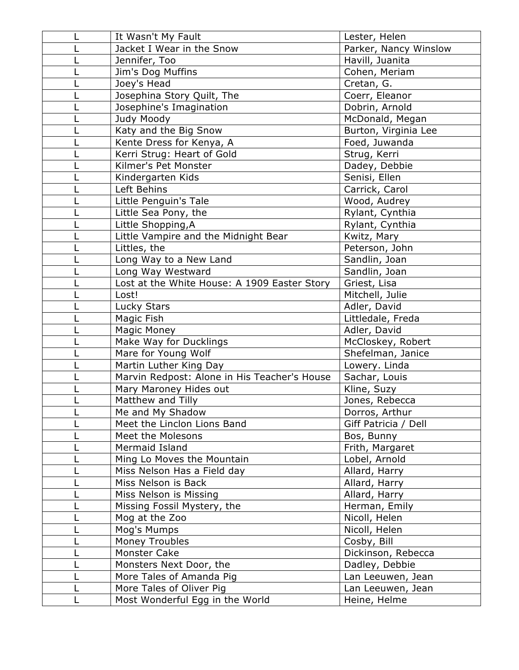| It Wasn't My Fault                           | Lester, Helen         |
|----------------------------------------------|-----------------------|
| Jacket I Wear in the Snow                    | Parker, Nancy Winslow |
| Jennifer, Too                                | Havill, Juanita       |
| Jim's Dog Muffins                            | Cohen, Meriam         |
| Joey's Head                                  | Cretan, G.            |
| Josephina Story Quilt, The                   | Coerr, Eleanor        |
| Josephine's Imagination                      | Dobrin, Arnold        |
| Judy Moody                                   | McDonald, Megan       |
| Katy and the Big Snow                        | Burton, Virginia Lee  |
| Kente Dress for Kenya, A                     | Foed, Juwanda         |
| Kerri Strug: Heart of Gold                   | Strug, Kerri          |
| Kilmer's Pet Monster                         | Dadey, Debbie         |
| Kindergarten Kids                            | Senisi, Ellen         |
| Left Behins                                  | Carrick, Carol        |
| Little Penguin's Tale                        | Wood, Audrey          |
| Little Sea Pony, the                         | Rylant, Cynthia       |
| Little Shopping, A                           | Rylant, Cynthia       |
| Little Vampire and the Midnight Bear         | Kwitz, Mary           |
| Littles, the                                 | Peterson, John        |
| Long Way to a New Land                       | Sandlin, Joan         |
| Long Way Westward                            | Sandlin, Joan         |
| Lost at the White House: A 1909 Easter Story | Griest, Lisa          |
| Lost!                                        | Mitchell, Julie       |
| Lucky Stars                                  | Adler, David          |
| Magic Fish                                   | Littledale, Freda     |
| Magic Money                                  | Adler, David          |
| Make Way for Ducklings                       | McCloskey, Robert     |
| Mare for Young Wolf                          | Shefelman, Janice     |
| Martin Luther King Day                       | Lowery. Linda         |
| Marvin Redpost: Alone in His Teacher's House | Sachar, Louis         |
| Mary Maroney Hides out                       | Kline, Suzy           |
| Matthew and Tilly                            | Jones, Rebecca        |
| Me and My Shadow                             | Dorros, Arthur        |
| Meet the Linclon Lions Band                  | Giff Patricia / Dell  |
| Meet the Molesons                            | Bos, Bunny            |
| Mermaid Island                               | Frith, Margaret       |
| Ming Lo Moves the Mountain                   | Lobel, Arnold         |
| Miss Nelson Has a Field day                  | Allard, Harry         |
| Miss Nelson is Back                          | Allard, Harry         |
| Miss Nelson is Missing                       | Allard, Harry         |
| Missing Fossil Mystery, the                  | Herman, Emily         |
| Mog at the Zoo                               | Nicoll, Helen         |
| Mog's Mumps                                  | Nicoll, Helen         |
| Money Troubles                               | Cosby, Bill           |
| Monster Cake                                 | Dickinson, Rebecca    |
| Monsters Next Door, the                      | Dadley, Debbie        |
| More Tales of Amanda Pig                     | Lan Leeuwen, Jean     |
| More Tales of Oliver Pig                     | Lan Leeuwen, Jean     |
| Most Wonderful Egg in the World              | Heine, Helme          |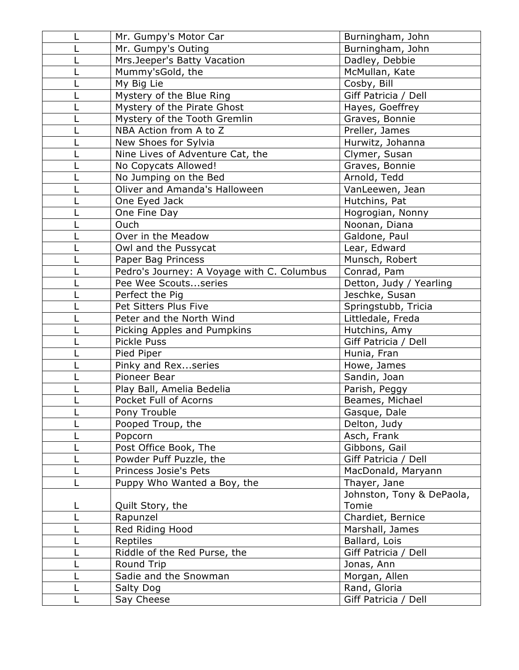| Mr. Gumpy's Motor Car                      | Burningham, John          |
|--------------------------------------------|---------------------------|
| Mr. Gumpy's Outing                         | Burningham, John          |
| Mrs.Jeeper's Batty Vacation                | Dadley, Debbie            |
| Mummy'sGold, the                           | McMullan, Kate            |
| My Big Lie                                 | Cosby, Bill               |
| Mystery of the Blue Ring                   | Giff Patricia / Dell      |
| Mystery of the Pirate Ghost                | Hayes, Goeffrey           |
| Mystery of the Tooth Gremlin               | Graves, Bonnie            |
| NBA Action from A to Z                     | Preller, James            |
| New Shoes for Sylvia                       | Hurwitz, Johanna          |
| Nine Lives of Adventure Cat, the           | Clymer, Susan             |
| No Copycats Allowed!                       | Graves, Bonnie            |
| No Jumping on the Bed                      | Arnold, Tedd              |
| Oliver and Amanda's Halloween              | VanLeewen, Jean           |
| One Eyed Jack                              | Hutchins, Pat             |
| One Fine Day                               | Hogrogian, Nonny          |
| Ouch                                       | Noonan, Diana             |
| Over in the Meadow                         | Galdone, Paul             |
| Owl and the Pussycat                       | Lear, Edward              |
| Paper Bag Princess                         | Munsch, Robert            |
| Pedro's Journey: A Voyage with C. Columbus | Conrad, Pam               |
| Pee Wee Scoutsseries                       | Detton, Judy / Yearling   |
| Perfect the Pig                            | Jeschke, Susan            |
| Pet Sitters Plus Five                      | Springstubb, Tricia       |
| Peter and the North Wind                   | Littledale, Freda         |
| Picking Apples and Pumpkins                | Hutchins, Amy             |
| <b>Pickle Puss</b>                         | Giff Patricia / Dell      |
| Pied Piper                                 | Hunia, Fran               |
| Pinky and Rexseries                        | Howe, James               |
| Pioneer Bear                               | Sandin, Joan              |
| Play Ball, Amelia Bedelia                  | Parish, Peggy             |
| Pocket Full of Acorns                      | Beames, Michael           |
| Pony Trouble                               | Gasque, Dale              |
| Pooped Troup, the                          | Delton, Judy              |
| Popcorn                                    | Asch, Frank               |
| Post Office Book, The                      | Gibbons, Gail             |
| Powder Puff Puzzle, the                    | Giff Patricia / Dell      |
| Princess Josie's Pets                      | MacDonald, Maryann        |
| Puppy Who Wanted a Boy, the                | Thayer, Jane              |
|                                            | Johnston, Tony & DePaola, |
| Quilt Story, the                           | Tomie                     |
| Rapunzel                                   | Chardiet, Bernice         |
| Red Riding Hood                            | Marshall, James           |
| Reptiles                                   | Ballard, Lois             |
| Riddle of the Red Purse, the               | Giff Patricia / Dell      |
| Round Trip                                 | Jonas, Ann                |
| Sadie and the Snowman                      | Morgan, Allen             |
| Salty Dog                                  | Rand, Gloria              |
| Say Cheese                                 | Giff Patricia / Dell      |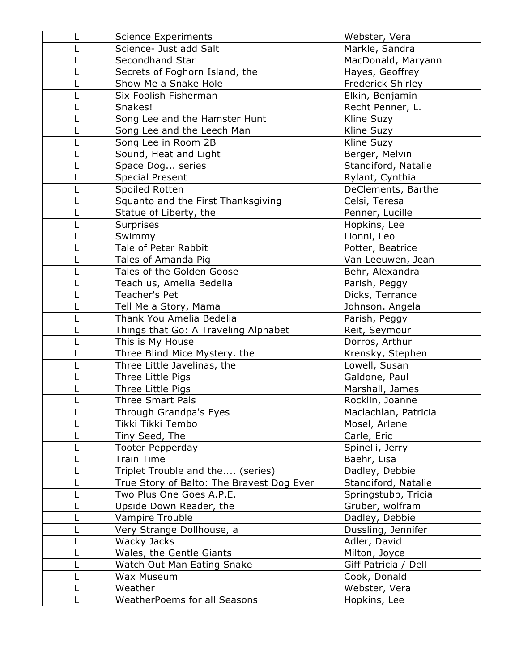| <b>Science Experiments</b>                | Webster, Vera        |
|-------------------------------------------|----------------------|
| Science- Just add Salt                    | Markle, Sandra       |
| Secondhand Star                           | MacDonald, Maryann   |
| Secrets of Foghorn Island, the            | Hayes, Geoffrey      |
| Show Me a Snake Hole                      | Frederick Shirley    |
| Six Foolish Fisherman                     | Elkin, Benjamin      |
| Snakes!                                   | Recht Penner, L.     |
| Song Lee and the Hamster Hunt             | Kline Suzy           |
| Song Lee and the Leech Man                | Kline Suzy           |
| Song Lee in Room 2B                       | Kline Suzy           |
| Sound, Heat and Light                     | Berger, Melvin       |
| Space Dog series                          | Standiford, Natalie  |
| <b>Special Present</b>                    | Rylant, Cynthia      |
| Spoiled Rotten                            | DeClements, Barthe   |
| Squanto and the First Thanksgiving        | Celsi, Teresa        |
| Statue of Liberty, the                    | Penner, Lucille      |
| Surprises                                 | Hopkins, Lee         |
| Swimmy                                    | Lionni, Leo          |
| Tale of Peter Rabbit                      | Potter, Beatrice     |
| Tales of Amanda Pig                       | Van Leeuwen, Jean    |
| Tales of the Golden Goose                 | Behr, Alexandra      |
| Teach us, Amelia Bedelia                  | Parish, Peggy        |
| Teacher's Pet                             | Dicks, Terrance      |
| Tell Me a Story, Mama                     | Johnson. Angela      |
| Thank You Amelia Bedelia                  | Parish, Peggy        |
| Things that Go: A Traveling Alphabet      | Reit, Seymour        |
| This is My House                          | Dorros, Arthur       |
| Three Blind Mice Mystery. the             | Krensky, Stephen     |
| Three Little Javelinas, the               | Lowell, Susan        |
| Three Little Pigs                         | Galdone, Paul        |
| Three Little Pigs                         | Marshall, James      |
| <b>Three Smart Pals</b>                   | Rocklin, Joanne      |
| Through Grandpa's Eyes                    | Maclachlan, Patricia |
| Tikki Tikki Tembo                         | Mosel, Arlene        |
| Tiny Seed, The                            | Carle, Eric          |
| <b>Tooter Pepperday</b>                   | Spinelli, Jerry      |
| <b>Train Time</b>                         | Baehr, Lisa          |
| Triplet Trouble and the (series)          | Dadley, Debbie       |
| True Story of Balto: The Bravest Dog Ever | Standiford, Natalie  |
| Two Plus One Goes A.P.E.                  | Springstubb, Tricia  |
| Upside Down Reader, the                   | Gruber, wolfram      |
| Vampire Trouble                           | Dadley, Debbie       |
| Very Strange Dollhouse, a                 | Dussling, Jennifer   |
| Wacky Jacks                               | Adler, David         |
| Wales, the Gentle Giants                  | Milton, Joyce        |
| Watch Out Man Eating Snake                | Giff Patricia / Dell |
| Wax Museum                                | Cook, Donald         |
| Weather                                   | Webster, Vera        |
| <b>WeatherPoems for all Seasons</b>       | Hopkins, Lee         |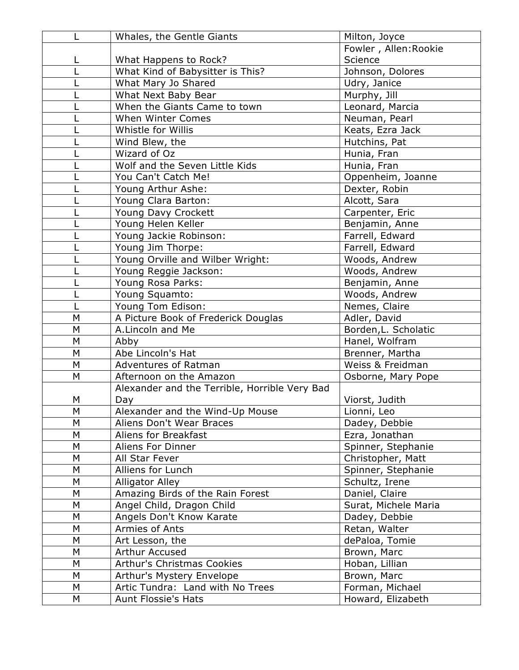|   | Whales, the Gentle Giants                     | Milton, Joyce         |
|---|-----------------------------------------------|-----------------------|
|   |                                               | Fowler, Allen: Rookie |
|   | What Happens to Rock?                         | Science               |
|   | What Kind of Babysitter is This?              | Johnson, Dolores      |
|   | What Mary Jo Shared                           | Udry, Janice          |
|   | What Next Baby Bear                           | Murphy, Jill          |
|   | When the Giants Came to town                  | Leonard, Marcia       |
|   | <b>When Winter Comes</b>                      | Neuman, Pearl         |
|   | Whistle for Willis                            | Keats, Ezra Jack      |
|   | Wind Blew, the                                | Hutchins, Pat         |
|   | Wizard of Oz                                  | Hunia, Fran           |
|   | Wolf and the Seven Little Kids                | Hunia, Fran           |
|   | You Can't Catch Me!                           | Oppenheim, Joanne     |
|   | Young Arthur Ashe:                            | Dexter, Robin         |
|   | Young Clara Barton:                           | Alcott, Sara          |
|   | Young Davy Crockett                           | Carpenter, Eric       |
|   | Young Helen Keller                            | Benjamin, Anne        |
|   | Young Jackie Robinson:                        | Farrell, Edward       |
|   | Young Jim Thorpe:                             | Farrell, Edward       |
|   | Young Orville and Wilber Wright:              | Woods, Andrew         |
|   | Young Reggie Jackson:                         | Woods, Andrew         |
|   | Young Rosa Parks:                             | Benjamin, Anne        |
|   | Young Squamto:                                | Woods, Andrew         |
|   | Young Tom Edison:                             | Nemes, Claire         |
| M | A Picture Book of Frederick Douglas           | Adler, David          |
| M | A.Lincoln and Me                              | Borden, L. Scholatic  |
| M | Abby                                          | Hanel, Wolfram        |
| М | Abe Lincoln's Hat                             | Brenner, Martha       |
| M | Adventures of Ratman                          | Weiss & Freidman      |
| M | Afternoon on the Amazon                       | Osborne, Mary Pope    |
|   | Alexander and the Terrible, Horrible Very Bad |                       |
| М | Day                                           | Viorst, Judith        |
| M | Alexander and the Wind-Up Mouse               | Lionni, Leo           |
| M | Aliens Don't Wear Braces                      | Dadey, Debbie         |
| М | Aliens for Breakfast                          | Ezra, Jonathan        |
| M | Aliens For Dinner                             | Spinner, Stephanie    |
| M | All Star Fever                                | Christopher, Matt     |
| M | Alliens for Lunch                             | Spinner, Stephanie    |
| M | <b>Alligator Alley</b>                        | Schultz, Irene        |
| M | Amazing Birds of the Rain Forest              | Daniel, Claire        |
| М | Angel Child, Dragon Child                     | Surat, Michele Maria  |
| M | Angels Don't Know Karate                      | Dadey, Debbie         |
| М | Armies of Ants                                | Retan, Walter         |
| M | Art Lesson, the                               | dePaloa, Tomie        |
| M | Arthur Accused                                | Brown, Marc           |
| M | <b>Arthur's Christmas Cookies</b>             | Hoban, Lillian        |
| М | Arthur's Mystery Envelope                     | Brown, Marc           |
| M | Artic Tundra: Land with No Trees              | Forman, Michael       |
| М | Aunt Flossie's Hats                           | Howard, Elizabeth     |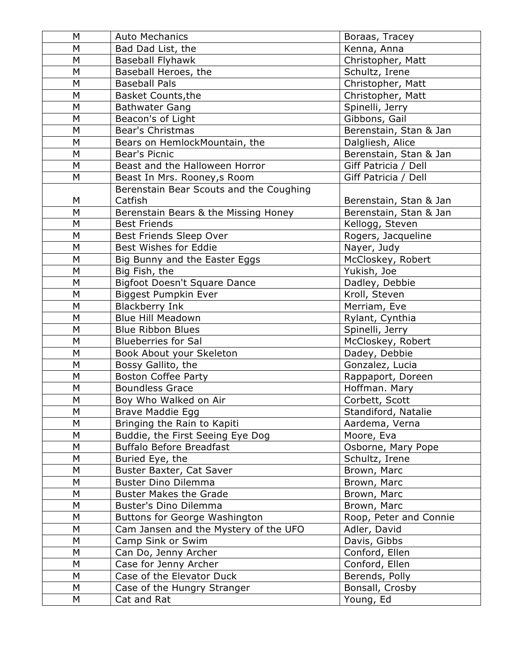| М | <b>Auto Mechanics</b>                   | Boraas, Tracey         |
|---|-----------------------------------------|------------------------|
| M | Bad Dad List, the                       | Kenna, Anna            |
| M | <b>Baseball Flyhawk</b>                 | Christopher, Matt      |
| M | Baseball Heroes, the                    | Schultz, Irene         |
| M | <b>Baseball Pals</b>                    | Christopher, Matt      |
| M | <b>Basket Counts, the</b>               | Christopher, Matt      |
| M | <b>Bathwater Gang</b>                   | Spinelli, Jerry        |
| M | Beacon's of Light                       | Gibbons, Gail          |
| M | <b>Bear's Christmas</b>                 | Berenstain, Stan & Jan |
| M | Bears on HemlockMountain, the           | Dalgliesh, Alice       |
| M | Bear's Picnic                           | Berenstain, Stan & Jan |
| M | Beast and the Halloween Horror          | Giff Patricia / Dell   |
| M | Beast In Mrs. Rooney, s Room            | Giff Patricia / Dell   |
|   | Berenstain Bear Scouts and the Coughing |                        |
| M | Catfish                                 | Berenstain, Stan & Jan |
| M | Berenstain Bears & the Missing Honey    | Berenstain, Stan & Jan |
| M | <b>Best Friends</b>                     | Kellogg, Steven        |
| M | Best Friends Sleep Over                 | Rogers, Jacqueline     |
| M | Best Wishes for Eddie                   | Nayer, Judy            |
| M | Big Bunny and the Easter Eggs           | McCloskey, Robert      |
| M | Big Fish, the                           | Yukish, Joe            |
| M | <b>Bigfoot Doesn't Square Dance</b>     | Dadley, Debbie         |
| M | Biggest Pumpkin Ever                    | Kroll, Steven          |
| M | <b>Blackberry Ink</b>                   | Merriam, Eve           |
| M | <b>Blue Hill Meadown</b>                | Rylant, Cynthia        |
| M | <b>Blue Ribbon Blues</b>                | Spinelli, Jerry        |
| M | <b>Blueberries for Sal</b>              | McCloskey, Robert      |
| M | Book About your Skeleton                | Dadey, Debbie          |
| M | Bossy Gallito, the                      | Gonzalez, Lucia        |
| M | <b>Boston Coffee Party</b>              | Rappaport, Doreen      |
| M | <b>Boundless Grace</b>                  | Hoffman. Mary          |
| M | Boy Who Walked on Air                   | Corbett, Scott         |
| M | Brave Maddie Egg                        | Standiford, Natalie    |
| М | Bringing the Rain to Kapiti             | Aardema, Verna         |
| M | Buddie, the First Seeing Eye Dog        | Moore, Eva             |
| M | <b>Buffalo Before Breadfast</b>         | Osborne, Mary Pope     |
| М | Buried Eye, the                         | Schultz, Irene         |
| M | Buster Baxter, Cat Saver                | Brown, Marc            |
| M | <b>Buster Dino Dilemma</b>              | Brown, Marc            |
| М | <b>Buster Makes the Grade</b>           | Brown, Marc            |
| M | Buster's Dino Dilemma                   | Brown, Marc            |
| M | <b>Buttons for George Washington</b>    | Roop, Peter and Connie |
| М | Cam Jansen and the Mystery of the UFO   | Adler, David           |
| M | Camp Sink or Swim                       | Davis, Gibbs           |
| M | Can Do, Jenny Archer                    | Conford, Ellen         |
| М | Case for Jenny Archer                   | Conford, Ellen         |
| M | Case of the Elevator Duck               | Berends, Polly         |
| M | Case of the Hungry Stranger             | Bonsall, Crosby        |
| M | Cat and Rat                             | Young, Ed              |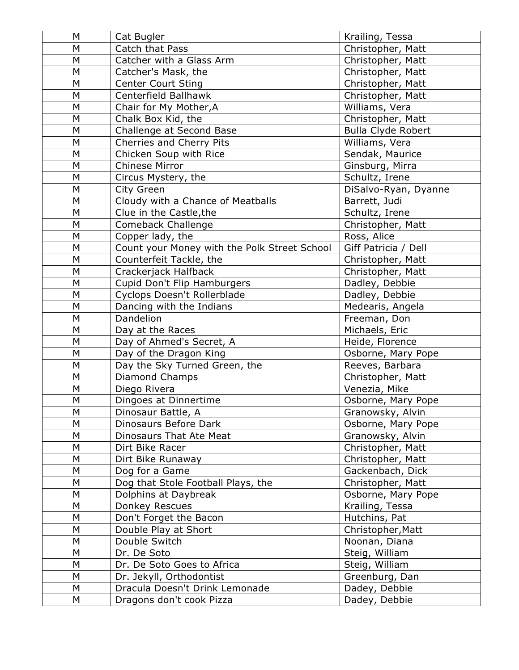| M | Cat Bugler                                   | Krailing, Tessa           |
|---|----------------------------------------------|---------------------------|
| M | Catch that Pass                              | Christopher, Matt         |
| M | Catcher with a Glass Arm                     | Christopher, Matt         |
| M | Catcher's Mask, the                          | Christopher, Matt         |
| M | <b>Center Court Sting</b>                    | Christopher, Matt         |
| M | Centerfield Ballhawk                         | Christopher, Matt         |
| M | Chair for My Mother, A                       | Williams, Vera            |
| M | Chalk Box Kid, the                           | Christopher, Matt         |
| M | Challenge at Second Base                     | <b>Bulla Clyde Robert</b> |
| M | Cherries and Cherry Pits                     | Williams, Vera            |
| M | Chicken Soup with Rice                       | Sendak, Maurice           |
| M | Chinese Mirror                               | Ginsburg, Mirra           |
| M | Circus Mystery, the                          | Schultz, Irene            |
| M | City Green                                   | DiSalvo-Ryan, Dyanne      |
| M | Cloudy with a Chance of Meatballs            | Barrett, Judi             |
| M | Clue in the Castle, the                      | Schultz, Irene            |
| M | Comeback Challenge                           | Christopher, Matt         |
| M | Copper lady, the                             | Ross, Alice               |
| M | Count your Money with the Polk Street School | Giff Patricia / Dell      |
| M | Counterfeit Tackle, the                      | Christopher, Matt         |
| M | Crackerjack Halfback                         | Christopher, Matt         |
| M | Cupid Don't Flip Hamburgers                  | Dadley, Debbie            |
| M | Cyclops Doesn't Rollerblade                  | Dadley, Debbie            |
| M | Dancing with the Indians                     | Medearis, Angela          |
| M | Dandelion                                    | Freeman, Don              |
| M | Day at the Races                             | Michaels, Eric            |
| M | Day of Ahmed's Secret, A                     | Heide, Florence           |
| M | Day of the Dragon King                       | Osborne, Mary Pope        |
| M | Day the Sky Turned Green, the                | Reeves, Barbara           |
| M | <b>Diamond Champs</b>                        | Christopher, Matt         |
| M | Diego Rivera                                 | Venezia, Mike             |
| M | Dingoes at Dinnertime                        | Osborne, Mary Pope        |
| M | Dinosaur Battle, A                           | Granowsky, Alvin          |
| M | Dinosaurs Before Dark                        | Osborne, Mary Pope        |
| M | Dinosaurs That Ate Meat                      | Granowsky, Alvin          |
| М | Dirt Bike Racer                              | Christopher, Matt         |
| M | Dirt Bike Runaway                            | Christopher, Matt         |
| M | Dog for a Game                               | Gackenbach, Dick          |
| M | Dog that Stole Football Plays, the           | Christopher, Matt         |
| M | Dolphins at Daybreak                         | Osborne, Mary Pope        |
| M | <b>Donkey Rescues</b>                        | Krailing, Tessa           |
| M | Don't Forget the Bacon                       | Hutchins, Pat             |
| M | Double Play at Short                         | Christopher, Matt         |
| M | Double Switch                                | Noonan, Diana             |
| M | Dr. De Soto                                  | Steig, William            |
| M | Dr. De Soto Goes to Africa                   | Steig, William            |
| M | Dr. Jekyll, Orthodontist                     | Greenburg, Dan            |
| M | Dracula Doesn't Drink Lemonade               | Dadey, Debbie             |
| Μ | Dragons don't cook Pizza                     | Dadey, Debbie             |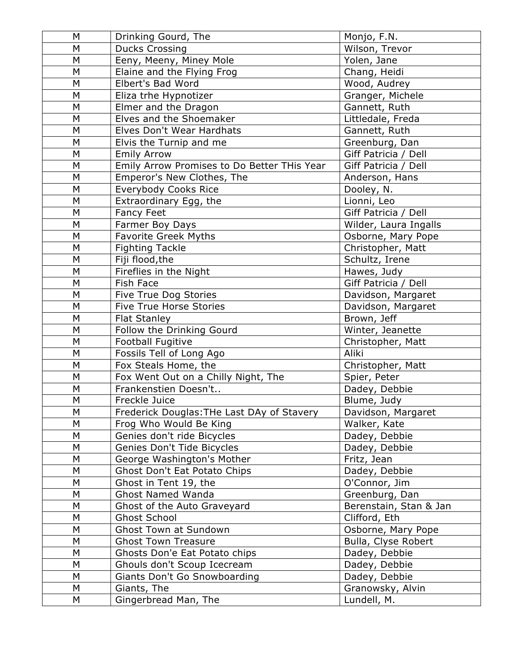| M         | Drinking Gourd, The                         | Monjo, F.N.            |
|-----------|---------------------------------------------|------------------------|
| M         | <b>Ducks Crossing</b>                       | Wilson, Trevor         |
| M         | Eeny, Meeny, Miney Mole                     | Yolen, Jane            |
| M         | Elaine and the Flying Frog                  | Chang, Heidi           |
| M         | Elbert's Bad Word                           | Wood, Audrey           |
| M         | Eliza trhe Hypnotizer                       | Granger, Michele       |
| M         | Elmer and the Dragon                        | Gannett, Ruth          |
| M         | Elves and the Shoemaker                     | Littledale, Freda      |
| M         | Elves Don't Wear Hardhats                   | Gannett, Ruth          |
| M         | Elvis the Turnip and me                     | Greenburg, Dan         |
| M         | <b>Emily Arrow</b>                          | Giff Patricia / Dell   |
| M         | Emily Arrow Promises to Do Better THis Year | Giff Patricia / Dell   |
| M         | Emperor's New Clothes, The                  | Anderson, Hans         |
| M         | Everybody Cooks Rice                        | Dooley, N.             |
| M         | Extraordinary Egg, the                      | Lionni, Leo            |
| M         | Fancy Feet                                  | Giff Patricia / Dell   |
| M         | Farmer Boy Days                             | Wilder, Laura Ingalls  |
| M         | <b>Favorite Greek Myths</b>                 | Osborne, Mary Pope     |
| M         | <b>Fighting Tackle</b>                      | Christopher, Matt      |
| M         | Fiji flood, the                             | Schultz, Irene         |
| M         | Fireflies in the Night                      | Hawes, Judy            |
| M         | <b>Fish Face</b>                            | Giff Patricia / Dell   |
| M         | Five True Dog Stories                       | Davidson, Margaret     |
| M         | <b>Five True Horse Stories</b>              | Davidson, Margaret     |
| M         | <b>Flat Stanley</b>                         | Brown, Jeff            |
| M         | Follow the Drinking Gourd                   | Winter, Jeanette       |
| M         | Football Fugitive                           | Christopher, Matt      |
| M         | Fossils Tell of Long Ago                    | Aliki                  |
| M         | Fox Steals Home, the                        | Christopher, Matt      |
| M         | Fox Went Out on a Chilly Night, The         | Spier, Peter           |
| M         | Frankenstien Doesn't                        | Dadey, Debbie          |
| M         | Freckle Juice                               | Blume, Judy            |
| ${\sf M}$ | Frederick Douglas: THe Last DAy of Stavery  | Davidson, Margaret     |
| M         | Frog Who Would Be King                      | Walker, Kate           |
| M         | Genies don't ride Bicycles                  | Dadey, Debbie          |
| M         | Genies Don't Tide Bicycles                  | Dadey, Debbie          |
| M         | George Washington's Mother                  | Fritz, Jean            |
| M         | Ghost Don't Eat Potato Chips                | Dadey, Debbie          |
| M         | Ghost in Tent 19, the                       | O'Connor, Jim          |
| M         | <b>Ghost Named Wanda</b>                    | Greenburg, Dan         |
| M         | Ghost of the Auto Graveyard                 | Berenstain, Stan & Jan |
| M         | <b>Ghost School</b>                         | Clifford, Eth          |
| M         | <b>Ghost Town at Sundown</b>                | Osborne, Mary Pope     |
| M         | <b>Ghost Town Treasure</b>                  | Bulla, Clyse Robert    |
| M         | Ghosts Don'e Eat Potato chips               | Dadey, Debbie          |
| ${\sf M}$ | Ghouls don't Scoup Icecream                 | Dadey, Debbie          |
| M         | Giants Don't Go Snowboarding                | Dadey, Debbie          |
| M         | Giants, The                                 | Granowsky, Alvin       |
| М         | Gingerbread Man, The                        | Lundell, M.            |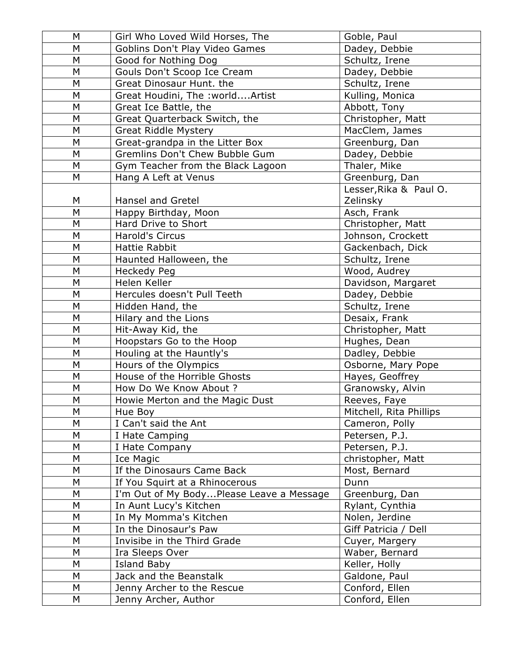| M | Girl Who Loved Wild Horses, The          | Goble, Paul             |
|---|------------------------------------------|-------------------------|
| M | Goblins Don't Play Video Games           | Dadey, Debbie           |
| M | Good for Nothing Dog                     | Schultz, Irene          |
| M | Gouls Don't Scoop Ice Cream              | Dadey, Debbie           |
| M | Great Dinosaur Hunt. the                 | Schultz, Irene          |
| M | Great Houdini, The : worldArtist         | Kulling, Monica         |
| M | Great Ice Battle, the                    | Abbott, Tony            |
| M | Great Quarterback Switch, the            | Christopher, Matt       |
| M | <b>Great Riddle Mystery</b>              | MacClem, James          |
| M | Great-grandpa in the Litter Box          | Greenburg, Dan          |
| M | Gremlins Don't Chew Bubble Gum           | Dadey, Debbie           |
| M | Gym Teacher from the Black Lagoon        | Thaler, Mike            |
| M | Hang A Left at Venus                     | Greenburg, Dan          |
|   |                                          | Lesser, Rika & Paul O.  |
| M | Hansel and Gretel                        | Zelinsky                |
| M | Happy Birthday, Moon                     | Asch, Frank             |
| M | Hard Drive to Short                      | Christopher, Matt       |
| M | Harold's Circus                          | Johnson, Crockett       |
| M | <b>Hattie Rabbit</b>                     | Gackenbach, Dick        |
| M | Haunted Halloween, the                   | Schultz, Irene          |
| M | <b>Heckedy Peg</b>                       | Wood, Audrey            |
| M | Helen Keller                             | Davidson, Margaret      |
| M | Hercules doesn't Pull Teeth              | Dadey, Debbie           |
| M | Hidden Hand, the                         | Schultz, Irene          |
| M | Hilary and the Lions                     | Desaix, Frank           |
| M | Hit-Away Kid, the                        | Christopher, Matt       |
| M | Hoopstars Go to the Hoop                 | Hughes, Dean            |
| M | Houling at the Hauntly's                 | Dadley, Debbie          |
| M | Hours of the Olympics                    | Osborne, Mary Pope      |
| M | House of the Horrible Ghosts             | Hayes, Geoffrey         |
| M | How Do We Know About ?                   | Granowsky, Alvin        |
| M | Howie Merton and the Magic Dust          | Reeves, Faye            |
| M | Hue Boy                                  | Mitchell, Rita Phillips |
| M | I Can't said the Ant                     | Cameron, Polly          |
| M | I Hate Camping                           | Petersen, P.J.          |
| M | I Hate Company                           | Petersen, P.J.          |
| M | Ice Magic                                | christopher, Matt       |
| M | If the Dinosaurs Came Back               | Most, Bernard           |
| M | If You Squirt at a Rhinocerous           | Dunn                    |
| M | I'm Out of My BodyPlease Leave a Message | Greenburg, Dan          |
| M | In Aunt Lucy's Kitchen                   | Rylant, Cynthia         |
| M | In My Momma's Kitchen                    | Nolen, Jerdine          |
| M | In the Dinosaur's Paw                    | Giff Patricia / Dell    |
| M | Invisibe in the Third Grade              | Cuyer, Margery          |
| M | Ira Sleeps Over                          | Waber, Bernard          |
| M | <b>Island Baby</b>                       | Keller, Holly           |
| M | Jack and the Beanstalk                   | Galdone, Paul           |
| М | Jenny Archer to the Rescue               | Conford, Ellen          |
| M | Jenny Archer, Author                     | Conford, Ellen          |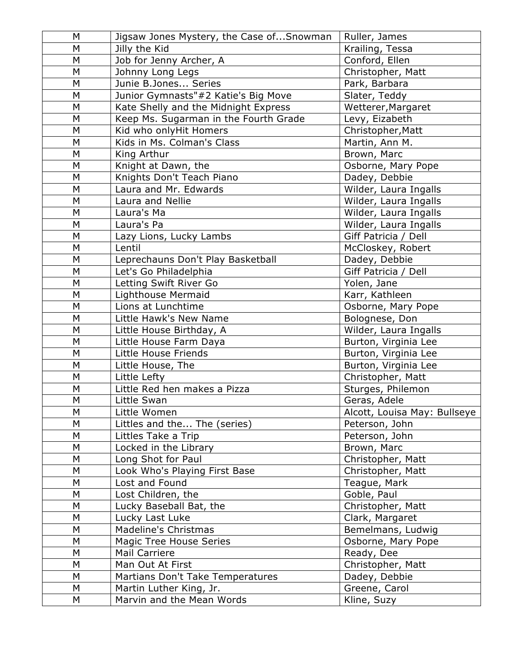| M | Jigsaw Jones Mystery, the Case ofSnowman | Ruller, James                |
|---|------------------------------------------|------------------------------|
| M | Jilly the Kid                            | Krailing, Tessa              |
| M | Job for Jenny Archer, A                  | Conford, Ellen               |
| M | Johnny Long Legs                         | Christopher, Matt            |
| M | Junie B.Jones Series                     | Park, Barbara                |
| M | Junior Gymnasts"#2 Katie's Big Move      | Slater, Teddy                |
| M | Kate Shelly and the Midnight Express     | Wetterer, Margaret           |
| M | Keep Ms. Sugarman in the Fourth Grade    | Levy, Eizabeth               |
| M | Kid who onlyHit Homers                   | Christopher, Matt            |
| M | Kids in Ms. Colman's Class               | Martin, Ann M.               |
| M | King Arthur                              | Brown, Marc                  |
| M | Knight at Dawn, the                      | Osborne, Mary Pope           |
| M | Knights Don't Teach Piano                | Dadey, Debbie                |
| M | Laura and Mr. Edwards                    | Wilder, Laura Ingalls        |
| M | Laura and Nellie                         | Wilder, Laura Ingalls        |
| M | Laura's Ma                               | Wilder, Laura Ingalls        |
| M | Laura's Pa                               | Wilder, Laura Ingalls        |
| M | Lazy Lions, Lucky Lambs                  | Giff Patricia / Dell         |
| M | Lentil                                   | McCloskey, Robert            |
| M | Leprechauns Don't Play Basketball        | Dadey, Debbie                |
| M | Let's Go Philadelphia                    | Giff Patricia / Dell         |
| M | Letting Swift River Go                   | Yolen, Jane                  |
| M | Lighthouse Mermaid                       | Karr, Kathleen               |
| M | Lions at Lunchtime                       | Osborne, Mary Pope           |
| M | Little Hawk's New Name                   | Bolognese, Don               |
| M | Little House Birthday, A                 | Wilder, Laura Ingalls        |
| M | Little House Farm Daya                   | Burton, Virginia Lee         |
| M | Little House Friends                     | Burton, Virginia Lee         |
| M | Little House, The                        | Burton, Virginia Lee         |
| M | Little Lefty                             | Christopher, Matt            |
| M | Little Red hen makes a Pizza             | Sturges, Philemon            |
| M | Little Swan                              | Geras, Adele                 |
| M | Little Women                             | Alcott, Louisa May: Bullseye |
| M | Littles and the The (series)             | Peterson, John               |
| M | Littles Take a Trip                      | Peterson, John               |
| M | Locked in the Library                    | Brown, Marc                  |
| M | Long Shot for Paul                       | Christopher, Matt            |
| M | Look Who's Playing First Base            | Christopher, Matt            |
| М | Lost and Found                           | Teague, Mark                 |
| M | Lost Children, the                       | Goble, Paul                  |
| M | Lucky Baseball Bat, the                  | Christopher, Matt            |
| Μ | Lucky Last Luke                          | Clark, Margaret              |
| M | Madeline's Christmas                     | Bemelmans, Ludwig            |
| M | Magic Tree House Series                  | Osborne, Mary Pope           |
| M | Mail Carriere                            | Ready, Dee                   |
| M | Man Out At First                         | Christopher, Matt            |
| M | Martians Don't Take Temperatures         | Dadey, Debbie                |
| M | Martin Luther King, Jr.                  | Greene, Carol                |
| M | Marvin and the Mean Words                | Kline, Suzy                  |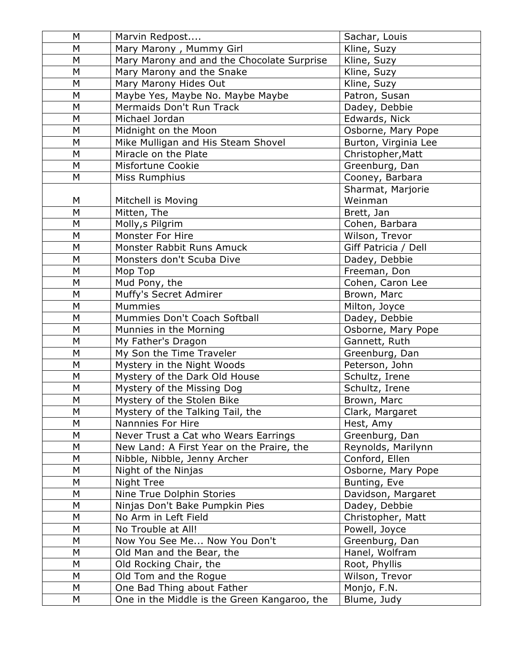| M         | Marvin Redpost                               | Sachar, Louis        |
|-----------|----------------------------------------------|----------------------|
| M         | Mary Marony, Mummy Girl                      | Kline, Suzy          |
| M         | Mary Marony and and the Chocolate Surprise   | Kline, Suzy          |
| M         | Mary Marony and the Snake                    | Kline, Suzy          |
| M         | Mary Marony Hides Out                        | Kline, Suzy          |
| M         | Maybe Yes, Maybe No. Maybe Maybe             | Patron, Susan        |
| M         | Mermaids Don't Run Track                     | Dadey, Debbie        |
| M         | Michael Jordan                               | Edwards, Nick        |
| M         | Midnight on the Moon                         | Osborne, Mary Pope   |
| M         | Mike Mulligan and His Steam Shovel           | Burton, Virginia Lee |
| M         | Miracle on the Plate                         | Christopher, Matt    |
| M         | Misfortune Cookie                            | Greenburg, Dan       |
| M         | Miss Rumphius                                | Cooney, Barbara      |
|           |                                              | Sharmat, Marjorie    |
| M         | Mitchell is Moving                           | Weinman              |
| M         | Mitten, The                                  | Brett, Jan           |
| M         | Molly, s Pilgrim                             | Cohen, Barbara       |
| M         | Monster For Hire                             | Wilson, Trevor       |
| M         | Monster Rabbit Runs Amuck                    | Giff Patricia / Dell |
| M         | Monsters don't Scuba Dive                    | Dadey, Debbie        |
| M         | Mop Top                                      | Freeman, Don         |
| M         | Mud Pony, the                                | Cohen, Caron Lee     |
| M         | Muffy's Secret Admirer                       | Brown, Marc          |
| M         | <b>Mummies</b>                               | Milton, Joyce        |
| M         | Mummies Don't Coach Softball                 | Dadey, Debbie        |
| M         | Munnies in the Morning                       | Osborne, Mary Pope   |
| M         | My Father's Dragon                           | Gannett, Ruth        |
| M         | My Son the Time Traveler                     | Greenburg, Dan       |
| M         | Mystery in the Night Woods                   | Peterson, John       |
| M         | Mystery of the Dark Old House                | Schultz, Irene       |
| M         | Mystery of the Missing Dog                   | Schultz, Irene       |
| M         | Mystery of the Stolen Bike                   | Brown, Marc          |
| ${\sf M}$ | Mystery of the Talking Tail, the             | Clark, Margaret      |
| M         | Nannnies For Hire                            | Hest, Amy            |
| M         | Never Trust a Cat who Wears Earrings         | Greenburg, Dan       |
| M         | New Land: A First Year on the Praire, the    | Reynolds, Marilynn   |
| M         | Nibble, Nibble, Jenny Archer                 | Conford, Ellen       |
| M         | Night of the Ninjas                          | Osborne, Mary Pope   |
| M         | Night Tree                                   | Bunting, Eve         |
| M         | Nine True Dolphin Stories                    | Davidson, Margaret   |
| M         | Ninjas Don't Bake Pumpkin Pies               | Dadey, Debbie        |
| M         | No Arm in Left Field                         | Christopher, Matt    |
| ${\sf M}$ | No Trouble at All!                           | Powell, Joyce        |
| M         | Now You See Me Now You Don't                 | Greenburg, Dan       |
| M         | Old Man and the Bear, the                    | Hanel, Wolfram       |
| M         | Old Rocking Chair, the                       | Root, Phyllis        |
| M         | Old Tom and the Rogue                        | Wilson, Trevor       |
| M         | One Bad Thing about Father                   | Monjo, F.N.          |
| М         | One in the Middle is the Green Kangaroo, the | Blume, Judy          |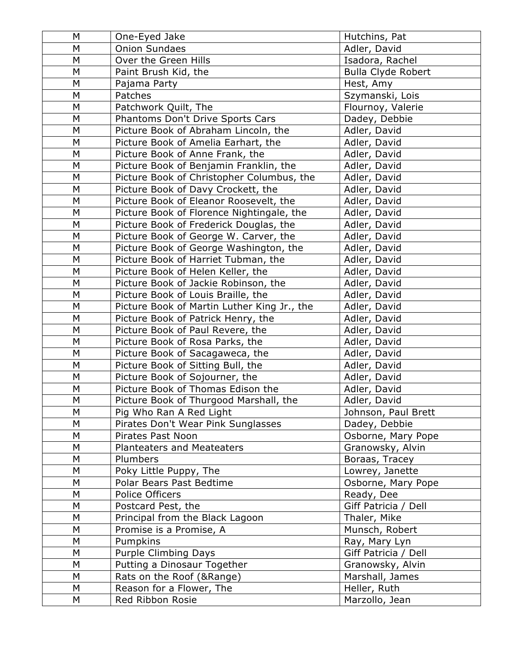| M         | One-Eyed Jake                               | Hutchins, Pat             |
|-----------|---------------------------------------------|---------------------------|
| M         | <b>Onion Sundaes</b>                        | Adler, David              |
| ${\sf M}$ | Over the Green Hills                        | Isadora, Rachel           |
| M         | Paint Brush Kid, the                        | <b>Bulla Clyde Robert</b> |
| M         | Pajama Party                                | Hest, Amy                 |
| M         | Patches                                     | Szymanski, Lois           |
| M         | Patchwork Quilt, The                        | Flournoy, Valerie         |
| M         | Phantoms Don't Drive Sports Cars            | Dadey, Debbie             |
| M         | Picture Book of Abraham Lincoln, the        | Adler, David              |
| M         | Picture Book of Amelia Earhart, the         | Adler, David              |
| M         | Picture Book of Anne Frank, the             | Adler, David              |
| M         | Picture Book of Benjamin Franklin, the      | Adler, David              |
| M         | Picture Book of Christopher Columbus, the   | Adler, David              |
| M         | Picture Book of Davy Crockett, the          | Adler, David              |
| M         | Picture Book of Eleanor Roosevelt, the      | Adler, David              |
| M         | Picture Book of Florence Nightingale, the   | Adler, David              |
| M         | Picture Book of Frederick Douglas, the      | Adler, David              |
| M         | Picture Book of George W. Carver, the       | Adler, David              |
| M         | Picture Book of George Washington, the      | Adler, David              |
| M         | Picture Book of Harriet Tubman, the         | Adler, David              |
| M         | Picture Book of Helen Keller, the           | Adler, David              |
| M         | Picture Book of Jackie Robinson, the        | Adler, David              |
| ${\sf M}$ | Picture Book of Louis Braille, the          | Adler, David              |
| ${\sf M}$ | Picture Book of Martin Luther King Jr., the | Adler, David              |
| ${\sf M}$ | Picture Book of Patrick Henry, the          | Adler, David              |
| M         | Picture Book of Paul Revere, the            | Adler, David              |
| M         | Picture Book of Rosa Parks, the             | Adler, David              |
| M         | Picture Book of Sacagaweca, the             | Adler, David              |
| M         | Picture Book of Sitting Bull, the           | Adler, David              |
| M         | Picture Book of Sojourner, the              | Adler, David              |
| M         | Picture Book of Thomas Edison the           | Adler, David              |
| M         | Picture Book of Thurgood Marshall, the      | Adler, David              |
| M         | Pig Who Ran A Red Light                     | Johnson, Paul Brett       |
| M         | Pirates Don't Wear Pink Sunglasses          | Dadey, Debbie             |
| M         | Pirates Past Noon                           | Osborne, Mary Pope        |
| M         | Planteaters and Meateaters                  | Granowsky, Alvin          |
| M         | Plumbers                                    | Boraas, Tracey            |
| M         | Poky Little Puppy, The                      | Lowrey, Janette           |
| M         | Polar Bears Past Bedtime                    | Osborne, Mary Pope        |
| ${\sf M}$ | Police Officers                             | Ready, Dee                |
| M         | Postcard Pest, the                          | Giff Patricia / Dell      |
| M         | Principal from the Black Lagoon             | Thaler, Mike              |
| M         | Promise is a Promise, A                     | Munsch, Robert            |
| M         | Pumpkins                                    | Ray, Mary Lyn             |
| M         | Purple Climbing Days                        | Giff Patricia / Dell      |
| M         | Putting a Dinosaur Together                 | Granowsky, Alvin          |
| M         | Rats on the Roof (&Range)                   | Marshall, James           |
| M         | Reason for a Flower, The                    | Heller, Ruth              |
| M         | Red Ribbon Rosie                            | Marzollo, Jean            |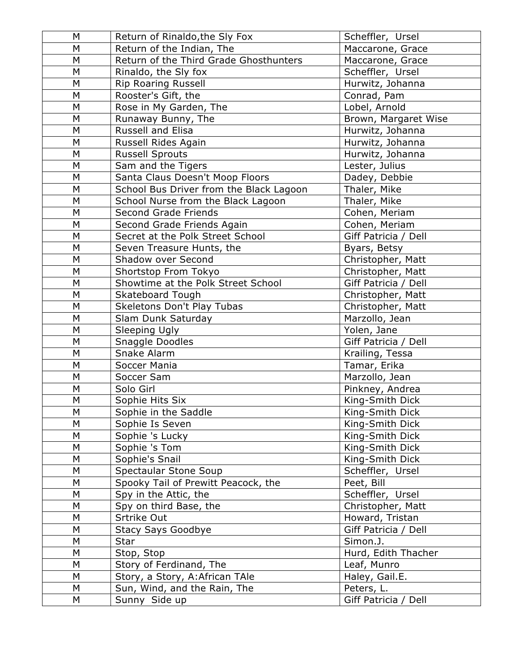| M | Return of Rinaldo, the Sly Fox          | Scheffler, Ursel     |
|---|-----------------------------------------|----------------------|
| M | Return of the Indian, The               | Maccarone, Grace     |
| M | Return of the Third Grade Ghosthunters  | Maccarone, Grace     |
| M | Rinaldo, the Sly fox                    | Scheffler, Ursel     |
| M | <b>Rip Roaring Russell</b>              | Hurwitz, Johanna     |
| M | Rooster's Gift, the                     | Conrad, Pam          |
| M | Rose in My Garden, The                  | Lobel, Arnold        |
| M | Runaway Bunny, The                      | Brown, Margaret Wise |
| M | Russell and Elisa                       | Hurwitz, Johanna     |
| M | Russell Rides Again                     | Hurwitz, Johanna     |
| M | <b>Russell Sprouts</b>                  | Hurwitz, Johanna     |
| M | Sam and the Tigers                      | Lester, Julius       |
| M | Santa Claus Doesn't Moop Floors         | Dadey, Debbie        |
| M | School Bus Driver from the Black Lagoon | Thaler, Mike         |
| M | School Nurse from the Black Lagoon      | Thaler, Mike         |
| M | Second Grade Friends                    | Cohen, Meriam        |
| M | Second Grade Friends Again              | Cohen, Meriam        |
| M | Secret at the Polk Street School        | Giff Patricia / Dell |
| M | Seven Treasure Hunts, the               | Byars, Betsy         |
| M | Shadow over Second                      | Christopher, Matt    |
| M | Shortstop From Tokyo                    | Christopher, Matt    |
| M | Showtime at the Polk Street School      | Giff Patricia / Dell |
| M | Skateboard Tough                        | Christopher, Matt    |
| M | Skeletons Don't Play Tubas              | Christopher, Matt    |
| M | Slam Dunk Saturday                      | Marzollo, Jean       |
| M | Sleeping Ugly                           | Yolen, Jane          |
| M | Snaggle Doodles                         | Giff Patricia / Dell |
| M | Snake Alarm                             | Krailing, Tessa      |
| M | Soccer Mania                            | Tamar, Erika         |
| M | Soccer Sam                              | Marzollo, Jean       |
| M | Solo Girl                               | Pinkney, Andrea      |
| M | Sophie Hits Six                         | King-Smith Dick      |
| M | Sophie in the Saddle                    | King-Smith Dick      |
| M | Sophie Is Seven                         | King-Smith Dick      |
| M | Sophie 's Lucky                         | King-Smith Dick      |
| М | Sophie 's Tom                           | King-Smith Dick      |
| M | Sophie's Snail                          | King-Smith Dick      |
| M | Spectaular Stone Soup                   | Scheffler, Ursel     |
| M | Spooky Tail of Prewitt Peacock, the     | Peet, Bill           |
| M | Spy in the Attic, the                   | Scheffler, Ursel     |
| M | Spy on third Base, the                  | Christopher, Matt    |
| M | Srtrike Out                             | Howard, Tristan      |
| M | <b>Stacy Says Goodbye</b>               | Giff Patricia / Dell |
| M | Star                                    | Simon.J.             |
| M | Stop, Stop                              | Hurd, Edith Thacher  |
| М | Story of Ferdinand, The                 | Leaf, Munro          |
| M | Story, a Story, A: African TAle         | Haley, Gail.E.       |
| M | Sun, Wind, and the Rain, The            | Peters, L.           |
| М | Sunny Side up                           | Giff Patricia / Dell |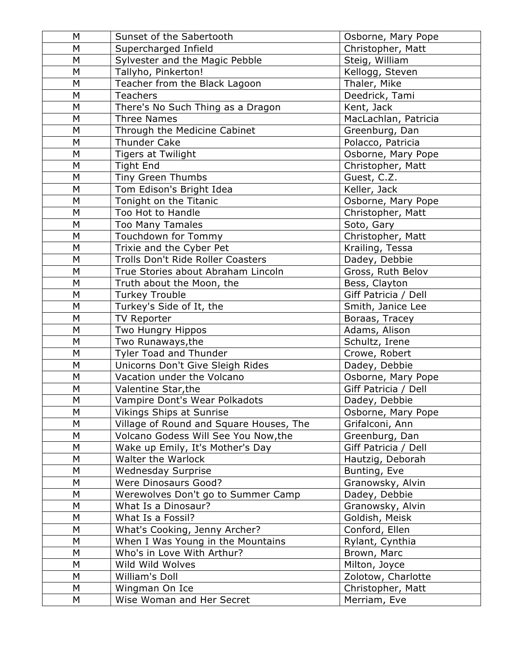| M         | Sunset of the Sabertooth                | Osborne, Mary Pope   |
|-----------|-----------------------------------------|----------------------|
| M         | Supercharged Infield                    | Christopher, Matt    |
| M         | Sylvester and the Magic Pebble          | Steig, William       |
| M         | Tallyho, Pinkerton!                     | Kellogg, Steven      |
| M         | Teacher from the Black Lagoon           | Thaler, Mike         |
| M         | Teachers                                | Deedrick, Tami       |
| M         | There's No Such Thing as a Dragon       | Kent, Jack           |
| M         | <b>Three Names</b>                      | MacLachlan, Patricia |
| M         | Through the Medicine Cabinet            | Greenburg, Dan       |
| M         | <b>Thunder Cake</b>                     | Polacco, Patricia    |
| M         | <b>Tigers at Twilight</b>               | Osborne, Mary Pope   |
| M         | <b>Tight End</b>                        | Christopher, Matt    |
| M         | Tiny Green Thumbs                       | Guest, C.Z.          |
| M         | Tom Edison's Bright Idea                | Keller, Jack         |
| M         | Tonight on the Titanic                  | Osborne, Mary Pope   |
| M         | Too Hot to Handle                       | Christopher, Matt    |
| M         | <b>Too Many Tamales</b>                 | Soto, Gary           |
| M         | Touchdown for Tommy                     | Christopher, Matt    |
| M         | Trixie and the Cyber Pet                | Krailing, Tessa      |
| M         | Trolls Don't Ride Roller Coasters       | Dadey, Debbie        |
| M         | True Stories about Abraham Lincoln      | Gross, Ruth Belov    |
| M         | Truth about the Moon, the               | Bess, Clayton        |
| M         | <b>Turkey Trouble</b>                   | Giff Patricia / Dell |
| M         | Turkey's Side of It, the                | Smith, Janice Lee    |
| M         | <b>TV Reporter</b>                      | Boraas, Tracey       |
| M         | Two Hungry Hippos                       | Adams, Alison        |
| M         | Two Runaways, the                       | Schultz, Irene       |
| M         | Tyler Toad and Thunder                  | Crowe, Robert        |
| M         | Unicorns Don't Give Sleigh Rides        | Dadey, Debbie        |
| M         | Vacation under the Volcano              | Osborne, Mary Pope   |
| M         | Valentine Star, the                     | Giff Patricia / Dell |
| M         | Vampire Dont's Wear Polkadots           | Dadey, Debbie        |
| ${\sf M}$ | Vikings Ships at Sunrise                | Osborne, Mary Pope   |
| M         | Village of Round and Square Houses, The | Grifalconi, Ann      |
| M         | Volcano Godess Will See You Now, the    | Greenburg, Dan       |
| M         | Wake up Emily, It's Mother's Day        | Giff Patricia / Dell |
| M         | Walter the Warlock                      | Hautzig, Deborah     |
| M         | <b>Wednesday Surprise</b>               | Bunting, Eve         |
| M         | <b>Were Dinosaurs Good?</b>             | Granowsky, Alvin     |
| M         | Werewolves Don't go to Summer Camp      | Dadey, Debbie        |
| M         | What Is a Dinosaur?                     | Granowsky, Alvin     |
| ${\sf M}$ | What Is a Fossil?                       | Goldish, Meisk       |
| M         | What's Cooking, Jenny Archer?           | Conford, Ellen       |
| M         | When I Was Young in the Mountains       | Rylant, Cynthia      |
| M         | Who's in Love With Arthur?              | Brown, Marc          |
| M         | Wild Wild Wolves                        | Milton, Joyce        |
| M         | William's Doll                          | Zolotow, Charlotte   |
| M         | Wingman On Ice                          | Christopher, Matt    |
| М         | Wise Woman and Her Secret               | Merriam, Eve         |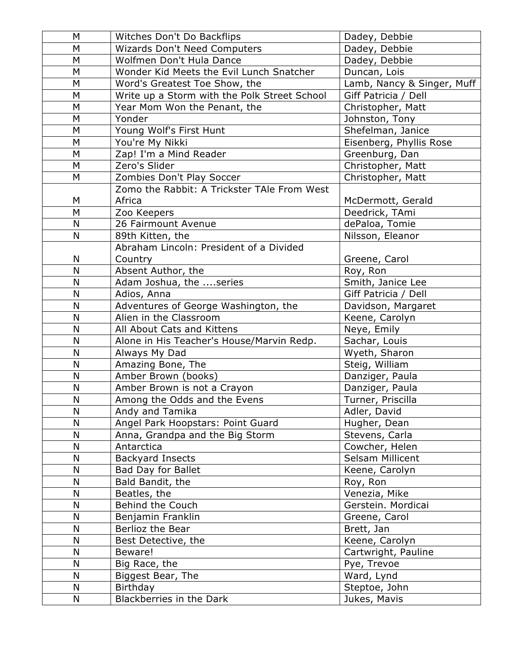| M            | Witches Don't Do Backflips                   | Dadey, Debbie              |
|--------------|----------------------------------------------|----------------------------|
| M            | <b>Wizards Don't Need Computers</b>          | Dadey, Debbie              |
| M            | Wolfmen Don't Hula Dance                     | Dadey, Debbie              |
| M            | Wonder Kid Meets the Evil Lunch Snatcher     | Duncan, Lois               |
| M            | Word's Greatest Toe Show, the                | Lamb, Nancy & Singer, Muff |
| M            | Write up a Storm with the Polk Street School | Giff Patricia / Dell       |
| M            | Year Mom Won the Penant, the                 | Christopher, Matt          |
| M            | Yonder                                       | Johnston, Tony             |
| M            | Young Wolf's First Hunt                      | Shefelman, Janice          |
| M            | You're My Nikki                              | Eisenberg, Phyllis Rose    |
| M            | Zap! I'm a Mind Reader                       | Greenburg, Dan             |
| M            | Zero's Slider                                | Christopher, Matt          |
| M            | Zombies Don't Play Soccer                    | Christopher, Matt          |
|              | Zomo the Rabbit: A Trickster TAIe From West  |                            |
| M            | Africa                                       | McDermott, Gerald          |
| M            | Zoo Keepers                                  | Deedrick, TAmi             |
| N            | 26 Fairmount Avenue                          | dePaloa, Tomie             |
| N            | 89th Kitten, the                             | Nilsson, Eleanor           |
|              | Abraham Lincoln: President of a Divided      |                            |
| N            | Country                                      | Greene, Carol              |
| N            | Absent Author, the                           | Roy, Ron                   |
| $\mathsf{N}$ | Adam Joshua, the series                      | Smith, Janice Lee          |
| N            | Adios, Anna                                  | Giff Patricia / Dell       |
| N            | Adventures of George Washington, the         | Davidson, Margaret         |
| $\mathsf{N}$ | Alien in the Classroom                       | Keene, Carolyn             |
| N            | All About Cats and Kittens                   | Neye, Emily                |
| N            | Alone in His Teacher's House/Marvin Redp.    | Sachar, Louis              |
| $\mathsf{N}$ | Always My Dad                                | Wyeth, Sharon              |
| N            | Amazing Bone, The                            | Steig, William             |
| N            | Amber Brown (books)                          | Danziger, Paula            |
| N            | Amber Brown is not a Crayon                  | Danziger, Paula            |
| $\mathsf{N}$ | Among the Odds and the Evens                 | Turner, Priscilla          |
| N            | Andy and Tamika                              | Adler, David               |
| N            | Angel Park Hoopstars: Point Guard            | Hugher, Dean               |
| N            | Anna, Grandpa and the Big Storm              | Stevens, Carla             |
| $\mathsf{N}$ | Antarctica                                   | Cowcher, Helen             |
| N            | <b>Backyard Insects</b>                      | Selsam Millicent           |
| N            | <b>Bad Day for Ballet</b>                    | Keene, Carolyn             |
| N            | Bald Bandit, the                             | Roy, Ron                   |
| N            | Beatles, the                                 | Venezia, Mike              |
| N            | Behind the Couch                             | Gerstein. Mordicai         |
| N            | Benjamin Franklin                            | Greene, Carol              |
| N            | Berlioz the Bear                             | Brett, Jan                 |
| N            | Best Detective, the                          | Keene, Carolyn             |
| N            | Beware!                                      | Cartwright, Pauline        |
| N            | Big Race, the                                | Pye, Trevoe                |
| N            | Biggest Bear, The                            | Ward, Lynd                 |
| N            | Birthday                                     | Steptoe, John              |
| N            | Blackberries in the Dark                     | Jukes, Mavis               |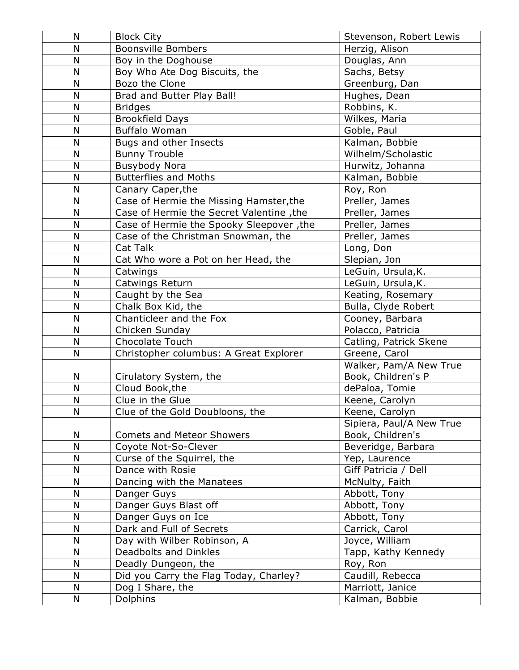| N            | <b>Block City</b>                        | Stevenson, Robert Lewis  |
|--------------|------------------------------------------|--------------------------|
| N            | <b>Boonsville Bombers</b>                | Herzig, Alison           |
| N            | Boy in the Doghouse                      | Douglas, Ann             |
| N            | Boy Who Ate Dog Biscuits, the            | Sachs, Betsy             |
| N            | Bozo the Clone                           | Greenburg, Dan           |
| N            | Brad and Butter Play Ball!               | Hughes, Dean             |
| N            | <b>Bridges</b>                           | Robbins, K.              |
| N            | <b>Brookfield Days</b>                   | Wilkes, Maria            |
| N            | <b>Buffalo Woman</b>                     | Goble, Paul              |
| N            | Bugs and other Insects                   | Kalman, Bobbie           |
| N            | <b>Bunny Trouble</b>                     | Wilhelm/Scholastic       |
| N            | <b>Busybody Nora</b>                     | Hurwitz, Johanna         |
| N            | <b>Butterflies and Moths</b>             | Kalman, Bobbie           |
| N            | Canary Caper, the                        | Roy, Ron                 |
| N            | Case of Hermie the Missing Hamster, the  | Preller, James           |
| N            | Case of Hermie the Secret Valentine, the | Preller, James           |
| N            | Case of Hermie the Spooky Sleepover, the | Preller, James           |
| $\mathsf{N}$ | Case of the Christman Snowman, the       | Preller, James           |
| N            | Cat Talk                                 | Long, Don                |
| N            | Cat Who wore a Pot on her Head, the      | Slepian, Jon             |
| $\mathsf{N}$ | Catwings                                 | LeGuin, Ursula, K.       |
| N            | Catwings Return                          | LeGuin, Ursula, K.       |
| $\mathsf{N}$ | Caught by the Sea                        | Keating, Rosemary        |
| N            | Chalk Box Kid, the                       | Bulla, Clyde Robert      |
| $\mathsf{N}$ | Chanticleer and the Fox                  | Cooney, Barbara          |
| N            | Chicken Sunday                           | Polacco, Patricia        |
| N            | <b>Chocolate Touch</b>                   | Catling, Patrick Skene   |
| N            | Christopher columbus: A Great Explorer   | Greene, Carol            |
|              |                                          | Walker, Pam/A New True   |
| N            | Cirulatory System, the                   | Book, Children's P       |
| N            | Cloud Book, the                          | dePaloa, Tomie           |
| N            | Clue in the Glue                         | Keene, Carolyn           |
| N            | Clue of the Gold Doubloons, the          | Keene, Carolyn           |
|              |                                          | Sipiera, Paul/A New True |
| N            | <b>Comets and Meteor Showers</b>         | Book, Children's         |
| N            | Coyote Not-So-Clever                     | Beveridge, Barbara       |
| N            | Curse of the Squirrel, the               | Yep, Laurence            |
| N            | Dance with Rosie                         | Giff Patricia / Dell     |
| N            | Dancing with the Manatees                | McNulty, Faith           |
| N            | Danger Guys                              | Abbott, Tony             |
| ${\sf N}$    | Danger Guys Blast off                    | Abbott, Tony             |
| N            | Danger Guys on Ice                       | Abbott, Tony             |
| N            | Dark and Full of Secrets                 | Carrick, Carol           |
| N            | Day with Wilber Robinson, A              | Joyce, William           |
| N            | Deadbolts and Dinkles                    | Tapp, Kathy Kennedy      |
| $\mathsf{N}$ | Deadly Dungeon, the                      | Roy, Ron                 |
| N            | Did you Carry the Flag Today, Charley?   | Caudill, Rebecca         |
| N            | Dog I Share, the                         | Marriott, Janice         |
| N            | Dolphins                                 | Kalman, Bobbie           |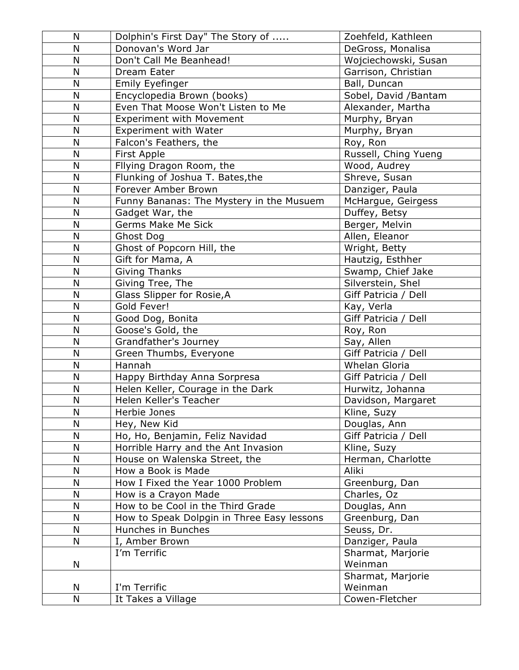| N            | Dolphin's First Day" The Story of          | Zoehfeld, Kathleen      |
|--------------|--------------------------------------------|-------------------------|
| N            | Donovan's Word Jar                         | DeGross, Monalisa       |
| N            | Don't Call Me Beanhead!                    | Wojciechowski, Susan    |
| N            | Dream Eater                                | Garrison, Christian     |
| N            | Emily Eyefinger                            | Ball, Duncan            |
| N            | Encyclopedia Brown (books)                 | Sobel, David /Bantam    |
| N            | Even That Moose Won't Listen to Me         | Alexander, Martha       |
| N            | <b>Experiment with Movement</b>            | Murphy, Bryan           |
| N            | Experiment with Water                      | Murphy, Bryan           |
| ${\sf N}$    | Falcon's Feathers, the                     | Roy, Ron                |
| N            | First Apple                                | Russell, Ching Yueng    |
| N            | Fllying Dragon Room, the                   | Wood, Audrey            |
| N            | Flunking of Joshua T. Bates, the           | Shreve, Susan           |
| N            | Forever Amber Brown                        | Danziger, Paula         |
| $\mathsf{N}$ | Funny Bananas: The Mystery in the Musuem   | McHargue, Geirgess      |
| N            | Gadget War, the                            | Duffey, Betsy           |
| N            | <b>Germs Make Me Sick</b>                  | Berger, Melvin          |
| N            | Ghost Dog                                  | Allen, Eleanor          |
| N            | Ghost of Popcorn Hill, the                 | Wright, Betty           |
| N            | Gift for Mama, A                           | Hautzig, Esthher        |
| N            | <b>Giving Thanks</b>                       | Swamp, Chief Jake       |
| N            | Giving Tree, The                           | Silverstein, Shel       |
| N            | Glass Slipper for Rosie, A                 | Giff Patricia / Dell    |
| $\mathsf{N}$ | Gold Fever!                                | Kay, Verla              |
| ${\sf N}$    | Good Dog, Bonita                           | Giff Patricia / Dell    |
| N            | Goose's Gold, the                          | Roy, Ron                |
| N            | Grandfather's Journey                      | Say, Allen              |
| N            | Green Thumbs, Everyone                     | Giff Patricia /<br>Dell |
| N            | Hannah                                     | Whelan Gloria           |
| N            | Happy Birthday Anna Sorpresa               | Giff Patricia / Dell    |
| ${\sf N}$    | Helen Keller, Courage in the Dark          | Hurwitz, Johanna        |
| $\mathsf{N}$ | Helen Keller's Teacher                     | Davidson, Margaret      |
| ${\sf N}$    | Herbie Jones                               | Kline, Suzy             |
| N            | Hey, New Kid                               | Douglas, Ann            |
| N            | Ho, Ho, Benjamin, Feliz Navidad            | Giff Patricia / Dell    |
| N            | Horrible Harry and the Ant Invasion        | Kline, Suzy             |
| $\mathsf{N}$ | House on Walenska Street, the              | Herman, Charlotte       |
| N            | How a Book is Made                         | Aliki                   |
| $\mathsf{N}$ | How I Fixed the Year 1000 Problem          | Greenburg, Dan          |
| N            | How is a Crayon Made                       | Charles, Oz             |
| N            | How to be Cool in the Third Grade          | Douglas, Ann            |
| $\mathsf{N}$ | How to Speak Dolpgin in Three Easy lessons | Greenburg, Dan          |
| N            | Hunches in Bunches                         | Seuss, Dr.              |
| N            | I, Amber Brown                             | Danziger, Paula         |
|              | I'm Terrific                               | Sharmat, Marjorie       |
| N            |                                            | Weinman                 |
|              |                                            | Sharmat, Marjorie       |
| N            | I'm Terrific                               | Weinman                 |
| N            | It Takes a Village                         | Cowen-Fletcher          |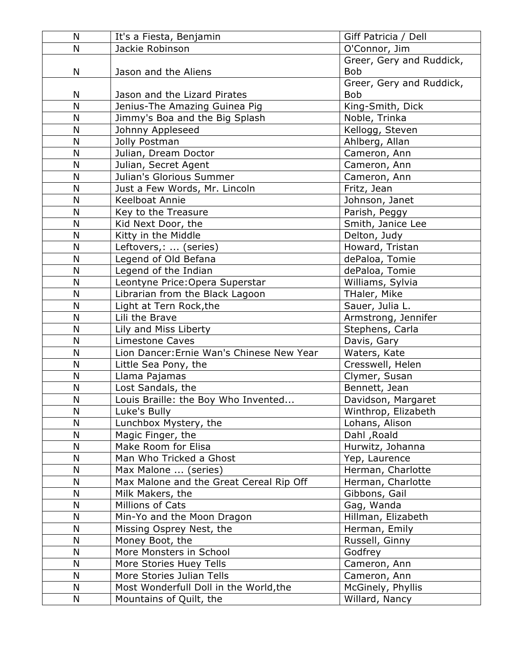| N      | It's a Fiesta, Benjamin                                            | Giff Patricia / Dell               |
|--------|--------------------------------------------------------------------|------------------------------------|
| N      | Jackie Robinson                                                    | O'Connor, Jim                      |
|        |                                                                    | Greer, Gery and Ruddick,           |
| N      | Jason and the Aliens                                               | <b>Bob</b>                         |
|        |                                                                    | Greer, Gery and Ruddick,           |
| N      | Jason and the Lizard Pirates                                       | <b>Bob</b>                         |
| N      | Jenius-The Amazing Guinea Pig                                      | King-Smith, Dick                   |
| N      | Jimmy's Boa and the Big Splash                                     | Noble, Trinka                      |
| N      | Johnny Appleseed                                                   | Kellogg, Steven                    |
| N      | Jolly Postman                                                      | Ahlberg, Allan                     |
| N      | Julian, Dream Doctor                                               | Cameron, Ann                       |
| N      | Julian, Secret Agent                                               | Cameron, Ann                       |
| N      | Julian's Glorious Summer                                           | Cameron, Ann                       |
| N      | Just a Few Words, Mr. Lincoln                                      | Fritz, Jean                        |
| N      | Keelboat Annie                                                     | Johnson, Janet                     |
| N      | Key to the Treasure                                                | Parish, Peggy                      |
| N<br>N | Kid Next Door, the                                                 | Smith, Janice Lee                  |
|        | Kitty in the Middle                                                | Delton, Judy                       |
| N<br>N | Leftovers,:  (series)                                              | Howard, Tristan                    |
| N      | Legend of Old Befana                                               | dePaloa, Tomie                     |
| N      | Legend of the Indian                                               | dePaloa, Tomie<br>Williams, Sylvia |
| N      | Leontyne Price: Opera Superstar<br>Librarian from the Black Lagoon | THaler, Mike                       |
| N      | Light at Tern Rock, the                                            | Sauer, Julia L.                    |
| N      | Lili the Brave                                                     | Armstrong, Jennifer                |
| N      | Lily and Miss Liberty                                              | Stephens, Carla                    |
| N      | <b>Limestone Caves</b>                                             | Davis, Gary                        |
| N      | Lion Dancer: Ernie Wan's Chinese New Year                          | Waters, Kate                       |
| N      | Little Sea Pony, the                                               | Cresswell, Helen                   |
| N      | Llama Pajamas                                                      | Clymer, Susan                      |
| N      | Lost Sandals, the                                                  | Bennett, Jean                      |
| N      | Louis Braille: the Boy Who Invented                                | Davidson, Margaret                 |
| N      | Luke's Bully                                                       | Winthrop, Elizabeth                |
| N      | Lunchbox Mystery, the                                              | Lohans, Alison                     |
| N      | Magic Finger, the                                                  | Dahl, Roald                        |
| N      | Make Room for Elisa                                                | Hurwitz, Johanna                   |
| N      | Man Who Tricked a Ghost                                            | Yep, Laurence                      |
| N      | Max Malone  (series)                                               | Herman, Charlotte                  |
| N      | Max Malone and the Great Cereal Rip Off                            | Herman, Charlotte                  |
| N      | Milk Makers, the                                                   | Gibbons, Gail                      |
| N      | Millions of Cats                                                   | Gag, Wanda                         |
| N      | Min-Yo and the Moon Dragon                                         | Hillman, Elizabeth                 |
| N      | Missing Osprey Nest, the                                           | Herman, Emily                      |
| N      | Money Boot, the                                                    | Russell, Ginny                     |
| N      | More Monsters in School                                            | Godfrey                            |
| N      | More Stories Huey Tells                                            | Cameron, Ann                       |
| N      | More Stories Julian Tells                                          | Cameron, Ann                       |
| N      | Most Wonderfull Doll in the World, the                             | McGinely, Phyllis                  |
| N      | Mountains of Quilt, the                                            | Willard, Nancy                     |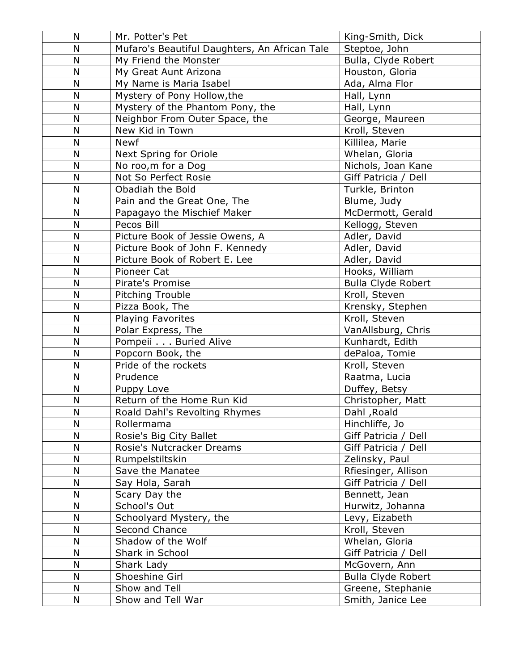| N            | Mr. Potter's Pet                              | King-Smith, Dick          |
|--------------|-----------------------------------------------|---------------------------|
| N            | Mufaro's Beautiful Daughters, An African Tale | Steptoe, John             |
| N            | My Friend the Monster                         | Bulla, Clyde Robert       |
| N            | My Great Aunt Arizona                         | Houston, Gloria           |
| $\mathsf{N}$ | My Name is Maria Isabel                       | Ada, Alma Flor            |
| N            | Mystery of Pony Hollow, the                   | Hall, Lynn                |
| N            | Mystery of the Phantom Pony, the              | Hall, Lynn                |
| $\mathsf{N}$ | Neighbor From Outer Space, the                | George, Maureen           |
| N            | New Kid in Town                               | Kroll, Steven             |
| N            | <b>Newf</b>                                   | Killilea, Marie           |
| N            | Next Spring for Oriole                        | Whelan, Gloria            |
| N            | No roo, m for a Dog                           | Nichols, Joan Kane        |
| N            | Not So Perfect Rosie                          | Giff Patricia / Dell      |
| N            | Obadiah the Bold                              | Turkle, Brinton           |
| N            | Pain and the Great One, The                   | Blume, Judy               |
| N            | Papagayo the Mischief Maker                   | McDermott, Gerald         |
| N            | Pecos Bill                                    | Kellogg, Steven           |
| N            | Picture Book of Jessie Owens, A               | Adler, David              |
| N            | Picture Book of John F. Kennedy               | Adler, David              |
| N            | Picture Book of Robert E. Lee                 | Adler, David              |
| $\mathsf{N}$ | Pioneer Cat                                   | Hooks, William            |
| N            | Pirate's Promise                              | <b>Bulla Clyde Robert</b> |
| N            | Pitching Trouble                              | Kroll, Steven             |
| N            | Pizza Book, The                               | Krensky, Stephen          |
| $\mathsf{N}$ | Playing Favorites                             | Kroll, Steven             |
| $\mathsf{N}$ | Polar Express, The                            | VanAllsburg, Chris        |
| N            | Pompeii Buried Alive                          | Kunhardt, Edith           |
| N            | Popcorn Book, the                             | dePaloa, Tomie            |
| $\mathsf{N}$ | Pride of the rockets                          | Kroll, Steven             |
| N            | Prudence                                      | Raatma, Lucia             |
| N            | Puppy Love                                    | Duffey, Betsy             |
| N            | Return of the Home Run Kid                    | Christopher, Matt         |
| N            | Roald Dahl's Revolting Rhymes                 | Dahl, Roald               |
| N            | Rollermama                                    | Hinchliffe, Jo            |
| N            | Rosie's Big City Ballet                       | Giff Patricia / Dell      |
| N            | Rosie's Nutcracker Dreams                     | Giff Patricia / Dell      |
| N            | Rumpelstiltskin                               | Zelinsky, Paul            |
| N            | Save the Manatee                              | Rfiesinger, Allison       |
| N            | Say Hola, Sarah                               | Giff Patricia / Dell      |
| N            | Scary Day the                                 | Bennett, Jean             |
| N            | School's Out                                  | Hurwitz, Johanna          |
| N            | Schoolyard Mystery, the                       | Levy, Eizabeth            |
| $\mathsf{N}$ | Second Chance                                 | Kroll, Steven             |
| N            | Shadow of the Wolf                            | Whelan, Gloria            |
| N            | Shark in School                               | Giff Patricia / Dell      |
| N            | Shark Lady                                    | McGovern, Ann             |
| N            | Shoeshine Girl                                | <b>Bulla Clyde Robert</b> |
| N            | Show and Tell                                 | Greene, Stephanie         |
| N            | Show and Tell War                             | Smith, Janice Lee         |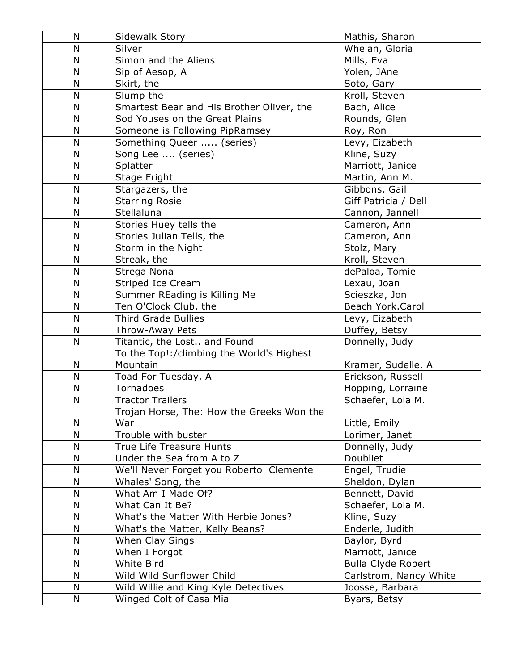| N            | Sidewalk Story                            | Mathis, Sharon            |
|--------------|-------------------------------------------|---------------------------|
| N            | Silver                                    | Whelan, Gloria            |
| N            | Simon and the Aliens                      | Mills, Eva                |
| N            | Sip of Aesop, A                           | Yolen, JAne               |
| N            | Skirt, the                                | Soto, Gary                |
| N            | Slump the                                 | Kroll, Steven             |
| N            | Smartest Bear and His Brother Oliver, the | Bach, Alice               |
| N            | Sod Youses on the Great Plains            | Rounds, Glen              |
| N            | Someone is Following PipRamsey            | Roy, Ron                  |
| N            | Something Queer  (series)                 | Levy, Eizabeth            |
| N            | Song Lee  (series)                        | Kline, Suzy               |
| N            | Splatter                                  | Marriott, Janice          |
| N            | Stage Fright                              | Martin, Ann M.            |
| N            | Stargazers, the                           | Gibbons, Gail             |
| N            | <b>Starring Rosie</b>                     | Giff Patricia / Dell      |
| $\mathsf{N}$ | Stellaluna                                | Cannon, Jannell           |
| N            | Stories Huey tells the                    | Cameron, Ann              |
| $\mathsf{N}$ | Stories Julian Tells, the                 | Cameron, Ann              |
| N            | Storm in the Night                        | Stolz, Mary               |
| N            | Streak, the                               | Kroll, Steven             |
| N            | Strega Nona                               | dePaloa, Tomie            |
| N            | Striped Ice Cream                         | Lexau, Joan               |
| N            | Summer REading is Killing Me              | Scieszka, Jon             |
| $\mathsf{N}$ | Ten O'Clock Club, the                     | Beach York.Carol          |
| N            | <b>Third Grade Bullies</b>                | Levy, Eizabeth            |
| N            | Throw-Away Pets                           | Duffey, Betsy             |
| N            | Titantic, the Lost and Found              | Donnelly, Judy            |
|              | To the Top!:/climbing the World's Highest |                           |
| N            | Mountain                                  | Kramer, Sudelle. A        |
| N            | Toad For Tuesday, A                       | Erickson, Russell         |
| N            | Tornadoes                                 | Hopping, Lorraine         |
| N            | <b>Tractor Trailers</b>                   | Schaefer, Lola M.         |
|              | Trojan Horse, The: How the Greeks Won the |                           |
| N            | War                                       | Little, Emily             |
| N            | Trouble with buster                       | Lorimer, Janet            |
| N            | True Life Treasure Hunts                  | Donnelly, Judy            |
| N            | Under the Sea from A to Z                 | Doubliet                  |
| N            | We'll Never Forget you Roberto Clemente   | Engel, Trudie             |
| ${\sf N}$    | Whales' Song, the                         | Sheldon, Dylan            |
| N            | What Am I Made Of?                        | Bennett, David            |
| N            | What Can It Be?                           | Schaefer, Lola M.         |
| N            | What's the Matter With Herbie Jones?      | Kline, Suzy               |
| N            | What's the Matter, Kelly Beans?           | Enderle, Judith           |
| N            | When Clay Sings                           | Baylor, Byrd              |
| N            | When I Forgot                             | Marriott, Janice          |
| N            | White Bird                                | <b>Bulla Clyde Robert</b> |
| $\mathsf{N}$ | Wild Wild Sunflower Child                 | Carlstrom, Nancy White    |
| N            | Wild Willie and King Kyle Detectives      | Joosse, Barbara           |
| N            | Winged Colt of Casa Mia                   | Byars, Betsy              |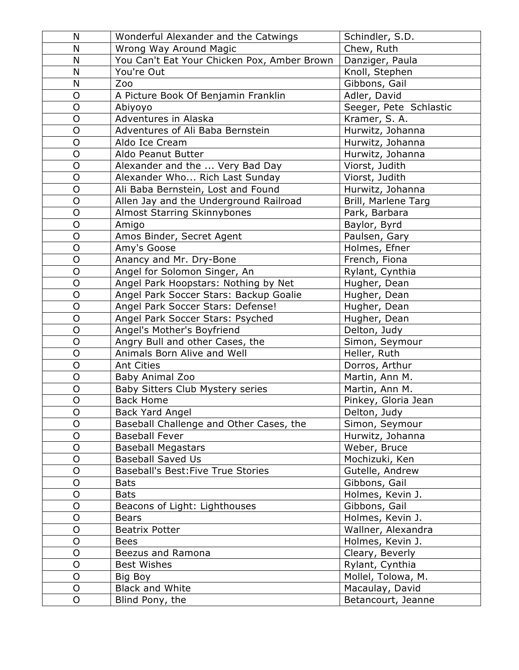| N              | Wonderful Alexander and the Catwings        | Schindler, S.D.        |
|----------------|---------------------------------------------|------------------------|
| N              | Wrong Way Around Magic                      | Chew, Ruth             |
| N              | You Can't Eat Your Chicken Pox, Amber Brown | Danziger, Paula        |
| N              | You're Out                                  | Knoll, Stephen         |
| N              | Zoo                                         | Gibbons, Gail          |
| O              | A Picture Book Of Benjamin Franklin         | Adler, David           |
| $\overline{O}$ | Abiyoyo                                     | Seeger, Pete Schlastic |
| O              | Adventures in Alaska                        | Kramer, S. A.          |
| O              | Adventures of Ali Baba Bernstein            | Hurwitz, Johanna       |
| $\overline{O}$ | Aldo Ice Cream                              | Hurwitz, Johanna       |
| O              | Aldo Peanut Butter                          | Hurwitz, Johanna       |
| $\mathsf{O}$   | Alexander and the  Very Bad Day             | Viorst, Judith         |
| $\overline{O}$ | Alexander Who Rich Last Sunday              | Viorst, Judith         |
| $\overline{O}$ | Ali Baba Bernstein, Lost and Found          | Hurwitz, Johanna       |
| O              | Allen Jay and the Underground Railroad      | Brill, Marlene Targ    |
| $\overline{O}$ | Almost Starring Skinnybones                 | Park, Barbara          |
| O              | Amigo                                       | Baylor, Byrd           |
| $\overline{O}$ | Amos Binder, Secret Agent                   | Paulsen, Gary          |
| O              | Amy's Goose                                 | Holmes, Efner          |
| $\overline{O}$ | Anancy and Mr. Dry-Bone                     | French, Fiona          |
| $\mathsf{O}$   | Angel for Solomon Singer, An                | Rylant, Cynthia        |
| $\overline{O}$ | Angel Park Hoopstars: Nothing by Net        | Hugher, Dean           |
| $\overline{O}$ | Angel Park Soccer Stars: Backup Goalie      | Hugher, Dean           |
| $\overline{O}$ | Angel Park Soccer Stars: Defense!           | Hugher, Dean           |
| $\circ$        | Angel Park Soccer Stars: Psyched            | Hugher, Dean           |
| $\overline{O}$ | Angel's Mother's Boyfriend                  | Delton, Judy           |
| $\overline{O}$ | Angry Bull and other Cases, the             | Simon, Seymour         |
| $\overline{O}$ | Animals Born Alive and Well                 | Heller, Ruth           |
| O              | <b>Ant Cities</b>                           | Dorros, Arthur         |
| $\overline{O}$ | Baby Animal Zoo                             | Martin, Ann M.         |
| $\mathsf{O}$   | Baby Sitters Club Mystery series            | Martin, Ann M.         |
| O              | <b>Back Home</b>                            | Pinkey, Gloria Jean    |
| $\mathsf O$    | Back Yard Angel                             | Delton, Judy           |
| $\overline{O}$ | Baseball Challenge and Other Cases, the     | Simon, Seymour         |
| O              | <b>Baseball Fever</b>                       | Hurwitz, Johanna       |
| O              | <b>Baseball Megastars</b>                   | Weber, Bruce           |
| $\mathsf{O}$   | <b>Baseball Saved Us</b>                    | Mochizuki, Ken         |
| O              | <b>Baseball's Best: Five True Stories</b>   | Gutelle, Andrew        |
| O              | <b>Bats</b>                                 | Gibbons, Gail          |
| O              | <b>Bats</b>                                 | Holmes, Kevin J.       |
| O              | Beacons of Light: Lighthouses               | Gibbons, Gail          |
| O              | <b>Bears</b>                                | Holmes, Kevin J.       |
| $\mathsf{O}$   | <b>Beatrix Potter</b>                       | Wallner, Alexandra     |
| O              | <b>Bees</b>                                 | Holmes, Kevin J.       |
| $\overline{O}$ | Beezus and Ramona                           | Cleary, Beverly        |
| O              | <b>Best Wishes</b>                          | Rylant, Cynthia        |
| $\overline{O}$ | Big Boy                                     | Mollel, Tolowa, M.     |
| $\mathsf{O}$   | <b>Black and White</b>                      | Macaulay, David        |
| $\mathsf O$    | Blind Pony, the                             | Betancourt, Jeanne     |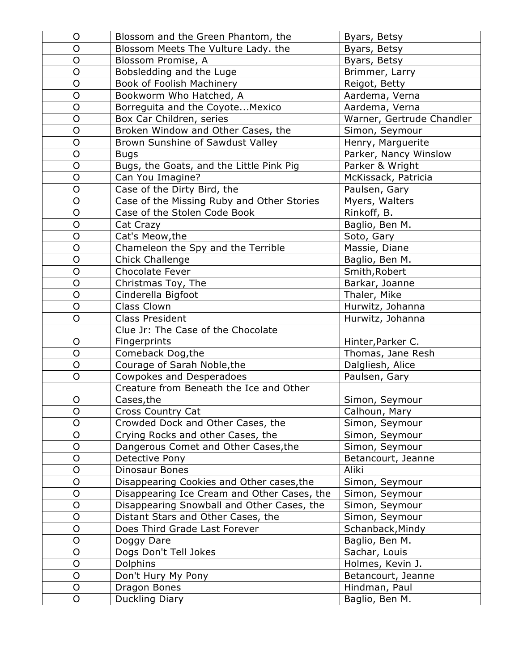| $\mathsf{O}$   | Blossom and the Green Phantom, the          | Byars, Betsy              |
|----------------|---------------------------------------------|---------------------------|
| $\overline{O}$ | Blossom Meets The Vulture Lady. the         | Byars, Betsy              |
| $\mathsf O$    | Blossom Promise, A                          | Byars, Betsy              |
| $\mathsf{O}$   | Bobsledding and the Luge                    | Brimmer, Larry            |
| $\circ$        | Book of Foolish Machinery                   | Reigot, Betty             |
| $\mathsf{O}$   | Bookworm Who Hatched, A                     | Aardema, Verna            |
| $\mathsf{O}$   | Borreguita and the CoyoteMexico             | Aardema, Verna            |
| $\circ$        | Box Car Children, series                    | Warner, Gertrude Chandler |
| $\mathsf{O}$   | Broken Window and Other Cases, the          | Simon, Seymour            |
| $\overline{O}$ | Brown Sunshine of Sawdust Valley            | Henry, Marguerite         |
| $\mathsf{O}$   | <b>Bugs</b>                                 | Parker, Nancy Winslow     |
| $\mathsf O$    | Bugs, the Goats, and the Little Pink Pig    | Parker & Wright           |
| $\mathsf{O}$   | Can You Imagine?                            | McKissack, Patricia       |
| $\mathsf{O}$   | Case of the Dirty Bird, the                 | Paulsen, Gary             |
| $\mathsf{O}$   | Case of the Missing Ruby and Other Stories  | Myers, Walters            |
| $\overline{O}$ | Case of the Stolen Code Book                | Rinkoff, B.               |
| $\mathsf{O}$   | Cat Crazy                                   | Baglio, Ben M.            |
| $\mathsf O$    | Cat's Meow, the                             | Soto, Gary                |
| $\mathsf{O}$   | Chameleon the Spy and the Terrible          | Massie, Diane             |
| $\overline{O}$ | Chick Challenge                             | Baglio, Ben M.            |
| $\mathsf{O}$   | <b>Chocolate Fever</b>                      | Smith, Robert             |
| $\overline{O}$ | Christmas Toy, The                          | Barkar, Joanne            |
| $\mathsf{O}$   | Cinderella Bigfoot                          | Thaler, Mike              |
| $\mathsf{O}$   | Class Clown                                 | Hurwitz, Johanna          |
| $\mathsf{O}$   | <b>Class President</b>                      | Hurwitz, Johanna          |
|                | Clue Jr: The Case of the Chocolate          |                           |
| O              | Fingerprints                                | Hinter, Parker C.         |
| $\overline{O}$ | Comeback Dog, the                           | Thomas, Jane Resh         |
| $\circ$        | Courage of Sarah Noble, the                 | Dalgliesh, Alice          |
| $\overline{O}$ | <b>Cowpokes and Desperadoes</b>             | Paulsen, Gary             |
|                | Creature from Beneath the Ice and Other     |                           |
| O              | Cases, the                                  | Simon, Seymour            |
| $\mathsf O$    | Cross Country Cat                           | Calhoun, Mary             |
| O              | Crowded Dock and Other Cases, the           | Simon, Seymour            |
| $\mathsf{O}$   | Crying Rocks and other Cases, the           | Simon, Seymour            |
| $\mathsf{O}$   | Dangerous Comet and Other Cases, the        | Simon, Seymour            |
| $\overline{O}$ | Detective Pony                              | Betancourt, Jeanne        |
| $\mathsf{O}$   | Dinosaur Bones                              | Aliki                     |
| $\mathsf O$    | Disappearing Cookies and Other cases, the   | Simon, Seymour            |
| $\mathsf{O}$   | Disappearing Ice Cream and Other Cases, the | Simon, Seymour            |
| $\mathsf O$    | Disappearing Snowball and Other Cases, the  | Simon, Seymour            |
| $\circ$        | Distant Stars and Other Cases, the          | Simon, Seymour            |
| $\mathsf{O}$   | Does Third Grade Last Forever               | Schanback, Mindy          |
| $\circ$        | Doggy Dare                                  | Baglio, Ben M.            |
| $\mathsf{O}$   | Dogs Don't Tell Jokes                       | Sachar, Louis             |
| $\mathsf{O}$   | Dolphins                                    | Holmes, Kevin J.          |
| $\mathsf O$    | Don't Hury My Pony                          | Betancourt, Jeanne        |
| $\mathsf{O}$   | Dragon Bones                                | Hindman, Paul             |
| $\circ$        | Duckling Diary                              | Baglio, Ben M.            |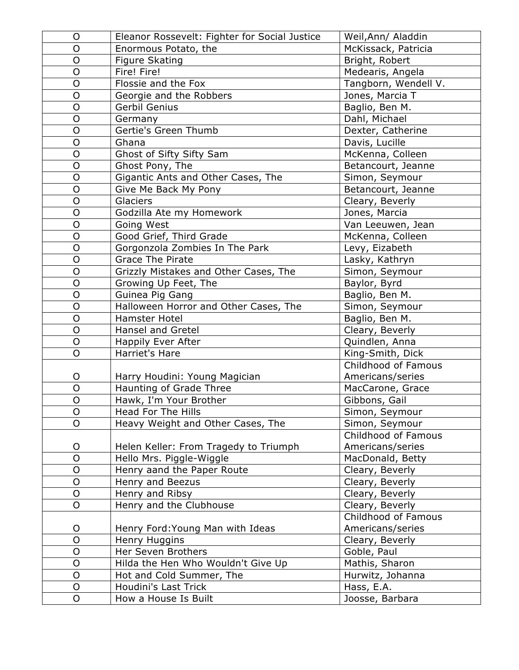| O              | Eleanor Rossevelt: Fighter for Social Justice | Weil, Ann/ Aladdin   |
|----------------|-----------------------------------------------|----------------------|
| O              | Enormous Potato, the                          | McKissack, Patricia  |
| O              | <b>Figure Skating</b>                         | Bright, Robert       |
| $\overline{O}$ | Fire! Fire!                                   | Medearis, Angela     |
| O              | Flossie and the Fox                           | Tangborn, Wendell V. |
| $\mathsf{O}$   | Georgie and the Robbers                       | Jones, Marcia T      |
| $\overline{O}$ | Gerbil Genius                                 | Baglio, Ben M.       |
| $\overline{O}$ | Germany                                       | Dahl, Michael        |
| $\overline{O}$ | Gertie's Green Thumb                          | Dexter, Catherine    |
| $\overline{O}$ | Ghana                                         | Davis, Lucille       |
| O              | Ghost of Sifty Sifty Sam                      | McKenna, Colleen     |
| O              | Ghost Pony, The                               | Betancourt, Jeanne   |
| O              | Gigantic Ants and Other Cases, The            | Simon, Seymour       |
| $\overline{O}$ | Give Me Back My Pony                          | Betancourt, Jeanne   |
| $\mathsf O$    | <b>Glaciers</b>                               | Cleary, Beverly      |
| $\overline{O}$ | Godzilla Ate my Homework                      | Jones, Marcia        |
| O              | Going West                                    | Van Leeuwen, Jean    |
| O              | Good Grief, Third Grade                       | McKenna, Colleen     |
| $\mathsf O$    | Gorgonzola Zombies In The Park                | Levy, Eizabeth       |
| $\overline{O}$ | <b>Grace The Pirate</b>                       | Lasky, Kathryn       |
| O              | Grizzly Mistakes and Other Cases, The         | Simon, Seymour       |
| $\mathsf{O}$   | Growing Up Feet, The                          | Baylor, Byrd         |
| O              | Guinea Pig Gang                               | Baglio, Ben M.       |
| $\overline{O}$ | Halloween Horror and Other Cases, The         | Simon, Seymour       |
| $\overline{O}$ | Hamster Hotel                                 | Baglio, Ben M.       |
| $\overline{O}$ | <b>Hansel and Gretel</b>                      | Cleary, Beverly      |
| $\mathsf{O}$   | Happily Ever After                            | Quindlen, Anna       |
| $\overline{O}$ | Harriet's Hare                                | King-Smith, Dick     |
|                |                                               | Childhood of Famous  |
| $\circ$        | Harry Houdini: Young Magician                 | Americans/series     |
| $\overline{O}$ | Haunting of Grade Three                       | MacCarone, Grace     |
| $\mathsf{O}$   | Hawk, I'm Your Brother                        | Gibbons, Gail        |
| O              | Head For The Hills                            | Simon, Seymour       |
| O              | Heavy Weight and Other Cases, The             | Simon, Seymour       |
|                |                                               | Childhood of Famous  |
| O              | Helen Keller: From Tragedy to Triumph         | Americans/series     |
| $\overline{O}$ | Hello Mrs. Piggle-Wiggle                      | MacDonald, Betty     |
| $\mathsf O$    | Henry aand the Paper Route                    | Cleary, Beverly      |
| O              | Henry and Beezus                              | Cleary, Beverly      |
| O              | Henry and Ribsy                               | Cleary, Beverly      |
| $\overline{O}$ | Henry and the Clubhouse                       | Cleary, Beverly      |
|                |                                               | Childhood of Famous  |
| O              | Henry Ford: Young Man with Ideas              | Americans/series     |
| $\overline{O}$ | Henry Huggins                                 | Cleary, Beverly      |
| $\overline{O}$ | Her Seven Brothers                            | Goble, Paul          |
| $\mathsf O$    | Hilda the Hen Who Wouldn't Give Up            | Mathis, Sharon       |
| $\mathsf O$    | Hot and Cold Summer, The                      | Hurwitz, Johanna     |
| $\mathsf O$    | Houdini's Last Trick                          | Hass, E.A.           |
| $\overline{O}$ | How a House Is Built                          | Joosse, Barbara      |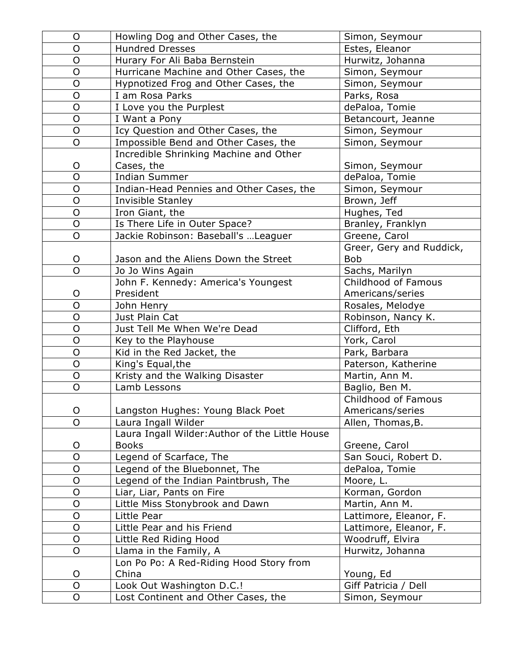| O              | Howling Dog and Other Cases, the                | Simon, Seymour           |
|----------------|-------------------------------------------------|--------------------------|
| O              | <b>Hundred Dresses</b>                          | Estes, Eleanor           |
| O              | Hurary For Ali Baba Bernstein                   | Hurwitz, Johanna         |
| $\mathsf O$    | Hurricane Machine and Other Cases, the          | Simon, Seymour           |
| $\mathsf O$    | Hypnotized Frog and Other Cases, the            | Simon, Seymour           |
| O              | I am Rosa Parks                                 | Parks, Rosa              |
| $\overline{O}$ | I Love you the Purplest                         | dePaloa, Tomie           |
| $\mathsf O$    | I Want a Pony                                   | Betancourt, Jeanne       |
| $\overline{O}$ | Icy Question and Other Cases, the               | Simon, Seymour           |
| $\overline{O}$ | Impossible Bend and Other Cases, the            | Simon, Seymour           |
|                | Incredible Shrinking Machine and Other          |                          |
| O              | Cases, the                                      | Simon, Seymour           |
| $\overline{O}$ | <b>Indian Summer</b>                            | dePaloa, Tomie           |
| $\overline{O}$ | Indian-Head Pennies and Other Cases, the        | Simon, Seymour           |
| $\mathsf O$    | Invisible Stanley                               | Brown, Jeff              |
| $\overline{O}$ | Iron Giant, the                                 | Hughes, Ted              |
| $\overline{O}$ | Is There Life in Outer Space?                   | Branley, Franklyn        |
| $\overline{O}$ | Jackie Robinson: Baseball's  Leaguer            | Greene, Carol            |
|                |                                                 | Greer, Gery and Ruddick, |
| O              | Jason and the Aliens Down the Street            | <b>Bob</b>               |
| O              | Jo Jo Wins Again                                | Sachs, Marilyn           |
|                | John F. Kennedy: America's Youngest             | Childhood of Famous      |
| O              | President                                       | Americans/series         |
| $\overline{O}$ | John Henry                                      | Rosales, Melodye         |
| O              | Just Plain Cat                                  | Robinson, Nancy K.       |
| $\overline{O}$ | Just Tell Me When We're Dead                    | Clifford, Eth            |
| $\overline{O}$ | Key to the Playhouse                            | York, Carol              |
| $\mathsf O$    | Kid in the Red Jacket, the                      | Park, Barbara            |
| $\overline{O}$ | King's Equal, the                               | Paterson, Katherine      |
| $\overline{O}$ | Kristy and the Walking Disaster                 | Martin, Ann M.           |
| O              | Lamb Lessons                                    | Baglio, Ben M.           |
|                |                                                 | Childhood of Famous      |
| $\circ$        | Langston Hughes: Young Black Poet               | Americans/series         |
| O              | Laura Ingall Wilder                             | Allen, Thomas, B.        |
|                | Laura Ingall Wilder: Author of the Little House |                          |
| O              | <b>Books</b>                                    | Greene, Carol            |
| $\overline{O}$ | Legend of Scarface, The                         | San Souci, Robert D.     |
| $\mathsf O$    | Legend of the Bluebonnet, The                   | dePaloa, Tomie           |
| $\mathsf O$    | Legend of the Indian Paintbrush, The            | Moore, L.                |
| $\overline{O}$ | Liar, Liar, Pants on Fire                       | Korman, Gordon           |
| O              | Little Miss Stonybrook and Dawn                 | Martin, Ann M.           |
| $\mathsf{O}$   | Little Pear                                     | Lattimore, Eleanor, F.   |
| O              | Little Pear and his Friend                      | Lattimore, Eleanor, F.   |
| O              | Little Red Riding Hood                          | Woodruff, Elvira         |
| O              | Llama in the Family, A                          | Hurwitz, Johanna         |
|                | Lon Po Po: A Red-Riding Hood Story from         |                          |
| O              | China                                           | Young, Ed                |
| $\overline{O}$ | Look Out Washington D.C.!                       | Giff Patricia / Dell     |
| O              | Lost Continent and Other Cases, the             | Simon, Seymour           |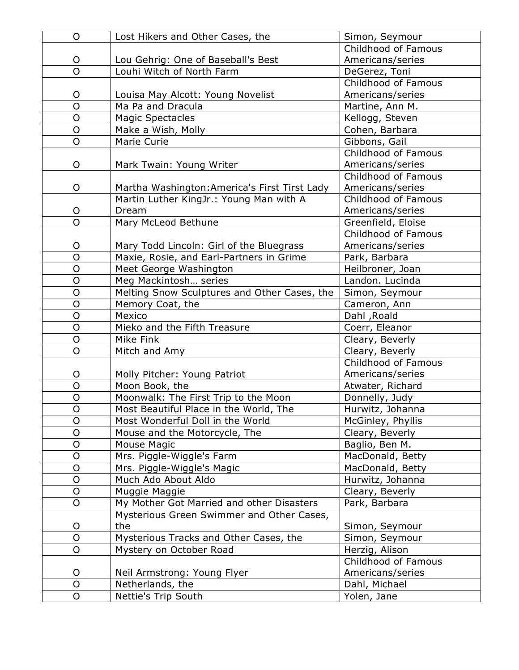| O              | Lost Hikers and Other Cases, the              | Simon, Seymour      |
|----------------|-----------------------------------------------|---------------------|
|                |                                               | Childhood of Famous |
| O              | Lou Gehrig: One of Baseball's Best            | Americans/series    |
| $\overline{O}$ | Louhi Witch of North Farm                     | DeGerez, Toni       |
|                |                                               | Childhood of Famous |
| O              | Louisa May Alcott: Young Novelist             | Americans/series    |
| $\overline{O}$ | Ma Pa and Dracula                             | Martine, Ann M.     |
| $\mathsf{O}$   | <b>Magic Spectacles</b>                       | Kellogg, Steven     |
| $\overline{O}$ | Make a Wish, Molly                            | Cohen, Barbara      |
| $\overline{O}$ | Marie Curie                                   | Gibbons, Gail       |
|                |                                               | Childhood of Famous |
| O              | Mark Twain: Young Writer                      | Americans/series    |
|                |                                               | Childhood of Famous |
| O              | Martha Washington: America's First Tirst Lady | Americans/series    |
|                | Martin Luther KingJr.: Young Man with A       | Childhood of Famous |
| O              | Dream                                         | Americans/series    |
| O              | Mary McLeod Bethune                           | Greenfield, Eloise  |
|                |                                               | Childhood of Famous |
| O              | Mary Todd Lincoln: Girl of the Bluegrass      | Americans/series    |
| $\overline{O}$ | Maxie, Rosie, and Earl-Partners in Grime      | Park, Barbara       |
| $\overline{O}$ | Meet George Washington                        | Heilbroner, Joan    |
| $\overline{O}$ | Meg Mackintosh series                         | Landon. Lucinda     |
| O              | Melting Snow Sculptures and Other Cases, the  | Simon, Seymour      |
| O              | Memory Coat, the                              | Cameron, Ann        |
| $\overline{O}$ | Mexico                                        | Dahl, Roald         |
| $\overline{O}$ | Mieko and the Fifth Treasure                  | Coerr, Eleanor      |
| $\mathsf O$    | Mike Fink                                     | Cleary, Beverly     |
| $\overline{O}$ | Mitch and Amy                                 | Cleary, Beverly     |
|                |                                               | Childhood of Famous |
| O              | Molly Pitcher: Young Patriot                  | Americans/series    |
| $\overline{O}$ | Moon Book, the                                | Atwater, Richard    |
| $\overline{O}$ | Moonwalk: The First Trip to the Moon          | Donnelly, Judy      |
| $\overline{O}$ | Most Beautiful Place in the World, The        | Hurwitz, Johanna    |
| O              | Most Wonderful Doll in the World              | McGinley, Phyllis   |
| O              | Mouse and the Motorcycle, The                 | Cleary, Beverly     |
| $\overline{O}$ | <b>Mouse Magic</b>                            | Baglio, Ben M.      |
| O              | Mrs. Piggle-Wiggle's Farm                     | MacDonald, Betty    |
| $\overline{O}$ | Mrs. Piggle-Wiggle's Magic                    | MacDonald, Betty    |
| O              | Much Ado About Aldo                           | Hurwitz, Johanna    |
| $\mathsf O$    | Muggie Maggie                                 | Cleary, Beverly     |
| $\mathsf O$    | My Mother Got Married and other Disasters     | Park, Barbara       |
|                | Mysterious Green Swimmer and Other Cases,     |                     |
| O              | the                                           | Simon, Seymour      |
| $\overline{O}$ | Mysterious Tracks and Other Cases, the        | Simon, Seymour      |
| $\overline{O}$ | Mystery on October Road                       | Herzig, Alison      |
|                |                                               | Childhood of Famous |
| O              | Neil Armstrong: Young Flyer                   | Americans/series    |
| $\mathsf{O}$   | Netherlands, the                              | Dahl, Michael       |
| $\overline{O}$ | Nettie's Trip South                           | Yolen, Jane         |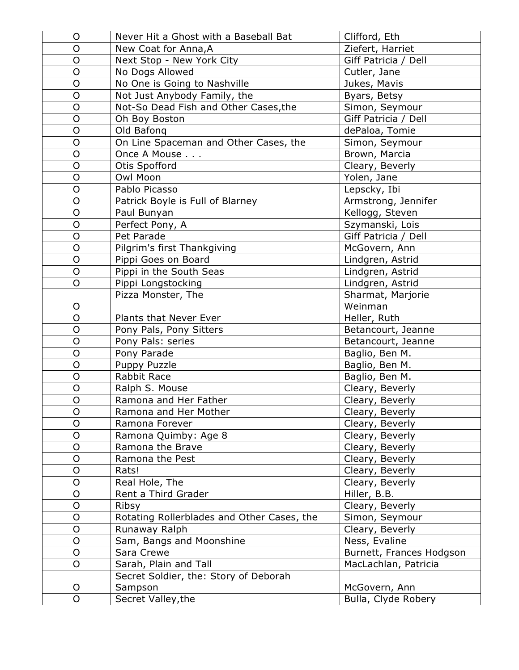| $\circ$        | Never Hit a Ghost with a Baseball Bat      | Clifford, Eth            |
|----------------|--------------------------------------------|--------------------------|
| $\overline{O}$ | New Coat for Anna, A                       | Ziefert, Harriet         |
| $\mathsf{O}$   | Next Stop - New York City                  | Giff Patricia / Dell     |
| $\overline{O}$ | No Dogs Allowed                            | Cutler, Jane             |
| O              | No One is Going to Nashville               | Jukes, Mavis             |
| $\mathsf{O}$   | Not Just Anybody Family, the               | Byars, Betsy             |
| $\overline{O}$ | Not-So Dead Fish and Other Cases, the      | Simon, Seymour           |
| $\overline{O}$ | Oh Boy Boston                              | Giff Patricia / Dell     |
| $\overline{O}$ | Old Bafong                                 | dePaloa, Tomie           |
| $\overline{O}$ | On Line Spaceman and Other Cases, the      | Simon, Seymour           |
| $\circ$        | Once A Mouse                               | Brown, Marcia            |
| O              | Otis Spofford                              | Cleary, Beverly          |
| $\overline{O}$ | Owl Moon                                   | Yolen, Jane              |
| $\overline{O}$ | Pablo Picasso                              | Lepscky, Ibi             |
| $\mathsf{O}$   | Patrick Boyle is Full of Blarney           | Armstrong, Jennifer      |
| $\overline{O}$ | Paul Bunyan                                | Kellogg, Steven          |
| O              | Perfect Pony, A                            | Szymanski, Lois          |
| $\overline{O}$ | Pet Parade                                 | Giff Patricia / Dell     |
| $\mathsf{O}$   | Pilgrim's first Thankgiving                | McGovern, Ann            |
| $\overline{O}$ | Pippi Goes on Board                        | Lindgren, Astrid         |
| $\mathsf{O}$   | Pippi in the South Seas                    | Lindgren, Astrid         |
| $\overline{O}$ | Pippi Longstocking                         | Lindgren, Astrid         |
|                | Pizza Monster, The                         | Sharmat, Marjorie        |
| O              |                                            | Weinman                  |
| $\overline{O}$ | Plants that Never Ever                     | Heller, Ruth             |
| $\overline{O}$ | Pony Pals, Pony Sitters                    | Betancourt, Jeanne       |
| $\mathsf{O}$   | Pony Pals: series                          | Betancourt, Jeanne       |
| $\overline{O}$ | Pony Parade                                | Baglio, Ben M.           |
| $\mathsf{O}$   | Puppy Puzzle                               | Baglio, Ben M.           |
| $\overline{O}$ | Rabbit Race                                | Baglio, Ben M.           |
| $\overline{O}$ | Ralph S. Mouse                             | Cleary, Beverly          |
| $\mathsf{O}$   | Ramona and Her Father                      | Cleary, Beverly          |
| $\circ$        | Ramona and Her Mother                      | Cleary, Beverly          |
| O              | Ramona Forever                             | Cleary, Beverly          |
| O              | Ramona Quimby: Age 8                       | Cleary, Beverly          |
| $\overline{O}$ | Ramona the Brave                           | Cleary, Beverly          |
| O              | Ramona the Pest                            | Cleary, Beverly          |
| $\mathsf{O}$   | Rats!                                      | Cleary, Beverly          |
| $\mathsf{O}$   | Real Hole, The                             | Cleary, Beverly          |
| $\circ$        | Rent a Third Grader                        | Hiller, B.B.             |
| O              | Ribsy                                      | Cleary, Beverly          |
| $\overline{O}$ | Rotating Rollerblades and Other Cases, the | Simon, Seymour           |
| O              | Runaway Ralph                              | Cleary, Beverly          |
| $\mathsf{O}$   | Sam, Bangs and Moonshine                   | Ness, Evaline            |
| O              | Sara Crewe                                 | Burnett, Frances Hodgson |
| $\overline{O}$ | Sarah, Plain and Tall                      | MacLachlan, Patricia     |
|                | Secret Soldier, the: Story of Deborah      |                          |
| O              | Sampson                                    | McGovern, Ann            |
| O              | Secret Valley, the                         | Bulla, Clyde Robery      |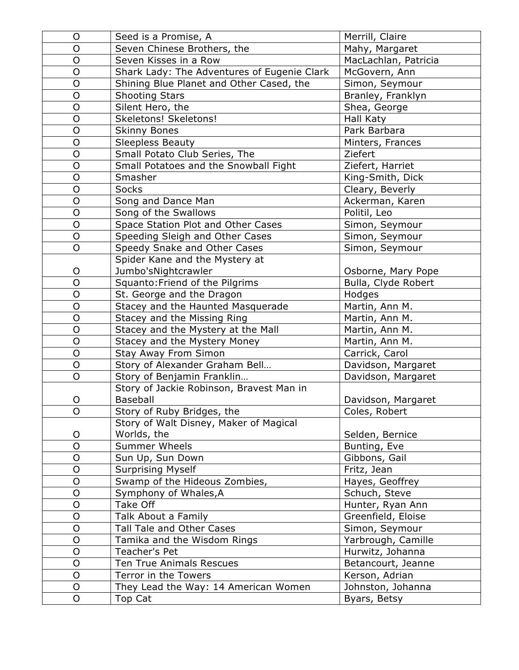| O              | Seed is a Promise, A                                        | Merrill, Claire                     |
|----------------|-------------------------------------------------------------|-------------------------------------|
| $\overline{O}$ | Seven Chinese Brothers, the                                 | Mahy, Margaret                      |
| O              | Seven Kisses in a Row                                       | MacLachlan, Patricia                |
| $\overline{O}$ | Shark Lady: The Adventures of Eugenie Clark                 | McGovern, Ann                       |
| O              | Shining Blue Planet and Other Cased, the                    | Simon, Seymour                      |
| $\overline{O}$ | <b>Shooting Stars</b>                                       | Branley, Franklyn                   |
| $\overline{O}$ | Silent Hero, the                                            | Shea, George                        |
| $\overline{O}$ | Skeletons! Skeletons!                                       | Hall Katy                           |
| $\mathsf O$    | <b>Skinny Bones</b>                                         | Park Barbara                        |
| $\overline{O}$ | <b>Sleepless Beauty</b>                                     | Minters, Frances                    |
| O              | Small Potato Club Series, The                               | Ziefert                             |
| $\mathsf O$    | Small Potatoes and the Snowball Fight                       | Ziefert, Harriet                    |
| O              | Smasher                                                     | King-Smith, Dick                    |
| $\overline{O}$ | <b>Socks</b>                                                | Cleary, Beverly                     |
| $\mathsf O$    | Song and Dance Man                                          | Ackerman, Karen                     |
| $\overline{O}$ | Song of the Swallows                                        | Politil, Leo                        |
| $\mathsf O$    | Space Station Plot and Other Cases                          | Simon, Seymour                      |
| $\overline{O}$ | Speeding Sleigh and Other Cases                             | Simon, Seymour                      |
| O              | Speedy Snake and Other Cases                                | Simon, Seymour                      |
|                | Spider Kane and the Mystery at                              |                                     |
| O              | Jumbo'sNightcrawler                                         | Osborne, Mary Pope                  |
| $\overline{O}$ | Squanto: Friend of the Pilgrims                             | Bulla, Clyde Robert                 |
| O              | St. George and the Dragon                                   | Hodges                              |
| $\mathsf O$    | Stacey and the Haunted Masquerade                           | Martin, Ann M.                      |
| $\overline{O}$ | Stacey and the Missing Ring                                 | Martin, Ann M.                      |
| $\overline{O}$ | Stacey and the Mystery at the Mall                          | Martin, Ann M.                      |
| $\mathsf O$    | Stacey and the Mystery Money                                | Martin, Ann M.                      |
| $\overline{O}$ | Stay Away From Simon                                        | Carrick, Carol                      |
| O              | Story of Alexander Graham Bell                              | Davidson, Margaret                  |
| $\overline{O}$ | Story of Benjamin Franklin                                  | Davidson, Margaret                  |
| O              | Story of Jackie Robinson, Bravest Man in<br><b>Baseball</b> |                                     |
| O              | Story of Ruby Bridges, the                                  | Davidson, Margaret<br>Coles, Robert |
|                | Story of Walt Disney, Maker of Magical                      |                                     |
| O              | Worlds, the                                                 | Selden, Bernice                     |
| O              | <b>Summer Wheels</b>                                        | Bunting, Eve                        |
| O              | Sun Up, Sun Down                                            | Gibbons, Gail                       |
| $\mathsf O$    | <b>Surprising Myself</b>                                    | Fritz, Jean                         |
| O              | Swamp of the Hideous Zombies,                               | Hayes, Geoffrey                     |
| $\mathsf O$    | Symphony of Whales, A                                       | Schuch, Steve                       |
| O              | Take Off                                                    | Hunter, Ryan Ann                    |
| O              | Talk About a Family                                         | Greenfield, Eloise                  |
| $\overline{O}$ | Tall Tale and Other Cases                                   | Simon, Seymour                      |
| O              | Tamika and the Wisdom Rings                                 | Yarbrough, Camille                  |
| O              | Teacher's Pet                                               | Hurwitz, Johanna                    |
| O              | Ten True Animals Rescues                                    | Betancourt, Jeanne                  |
| $\mathsf{O}$   | Terror in the Towers                                        | Kerson, Adrian                      |
| $\mathsf O$    | They Lead the Way: 14 American Women                        | Johnston, Johanna                   |
| O              | Top Cat                                                     | Byars, Betsy                        |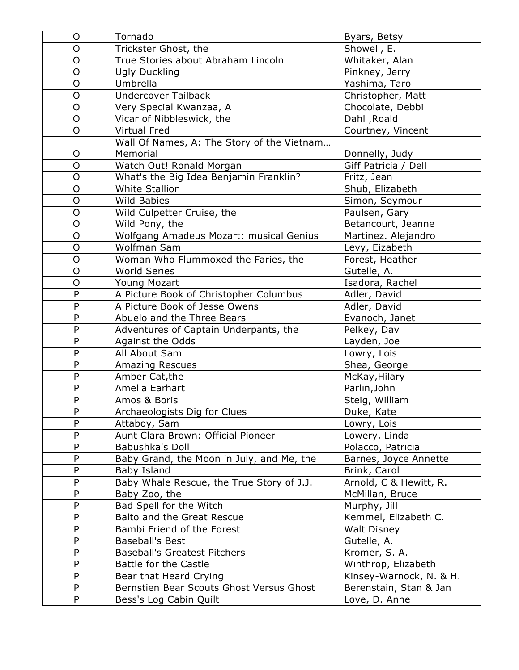| O              | Tornado                                    | Byars, Betsy            |
|----------------|--------------------------------------------|-------------------------|
| O              | Trickster Ghost, the                       | Showell, E.             |
| O              | True Stories about Abraham Lincoln         | Whitaker, Alan          |
| $\overline{O}$ | Ugly Duckling                              | Pinkney, Jerry          |
| $\overline{O}$ | Umbrella                                   | Yashima, Taro           |
| O              | <b>Undercover Tailback</b>                 | Christopher, Matt       |
| $\overline{O}$ | Very Special Kwanzaa, A                    | Chocolate, Debbi        |
| O              | Vicar of Nibbleswick, the                  | Dahl, Roald             |
| $\overline{O}$ | <b>Virtual Fred</b>                        | Courtney, Vincent       |
|                | Wall Of Names, A: The Story of the Vietnam |                         |
| O              | Memorial                                   | Donnelly, Judy          |
| $\overline{O}$ | Watch Out! Ronald Morgan                   | Giff Patricia / Dell    |
| $\overline{O}$ | What's the Big Idea Benjamin Franklin?     | Fritz, Jean             |
| $\overline{O}$ | White Stallion                             | Shub, Elizabeth         |
| O              | <b>Wild Babies</b>                         | Simon, Seymour          |
| $\overline{O}$ | Wild Culpetter Cruise, the                 | Paulsen, Gary           |
| $\overline{O}$ | Wild Pony, the                             | Betancourt, Jeanne      |
| O              | Wolfgang Amadeus Mozart: musical Genius    | Martinez. Alejandro     |
| $\mathsf{O}$   | Wolfman Sam                                | Levy, Eizabeth          |
| $\overline{O}$ | Woman Who Flummoxed the Faries, the        | Forest, Heather         |
| $\overline{O}$ | <b>World Series</b>                        | Gutelle, A.             |
| $\overline{O}$ | Young Mozart                               | Isadora, Rachel         |
| P              | A Picture Book of Christopher Columbus     | Adler, David            |
| $\mathsf{P}$   | A Picture Book of Jesse Owens              | Adler, David            |
| P              | Abuelo and the Three Bears                 | Evanoch, Janet          |
| P              | Adventures of Captain Underpants, the      | Pelkey, Dav             |
| $\mathsf{P}$   | <b>Against the Odds</b>                    | Layden, Joe             |
| P              | All About Sam                              | Lowry, Lois             |
| $\mathsf{P}$   | <b>Amazing Rescues</b>                     | Shea, George            |
| P              | Amber Cat, the                             | McKay, Hilary           |
| P              | Amelia Earhart                             | Parlin, John            |
| P              | Amos & Boris                               | Steig, William          |
| P              | Archaeologists Dig for Clues               | Duke, Kate              |
| $\mathsf{P}$   | Attaboy, Sam                               | Lowry, Lois             |
| ${\sf P}$      | Aunt Clara Brown: Official Pioneer         | Lowery, Linda           |
| P              | Babushka's Doll                            | Polacco, Patricia       |
| P              | Baby Grand, the Moon in July, and Me, the  | Barnes, Joyce Annette   |
| P              | Baby Island                                | Brink, Carol            |
| P              | Baby Whale Rescue, the True Story of J.J.  | Arnold, C & Hewitt, R.  |
| P              | Baby Zoo, the                              | McMillan, Bruce         |
| P              | Bad Spell for the Witch                    | Murphy, Jill            |
| P              | Balto and the Great Rescue                 | Kemmel, Elizabeth C.    |
| $\mathsf{P}$   | Bambi Friend of the Forest                 | <b>Walt Disney</b>      |
| P              | <b>Baseball's Best</b>                     | Gutelle, A.             |
| P              | <b>Baseball's Greatest Pitchers</b>        | Kromer, S. A.           |
| P              | Battle for the Castle                      | Winthrop, Elizabeth     |
| P              | Bear that Heard Crying                     | Kinsey-Warnock, N. & H. |
| P              | Bernstien Bear Scouts Ghost Versus Ghost   | Berenstain, Stan & Jan  |
| P              | Bess's Log Cabin Quilt                     | Love, D. Anne           |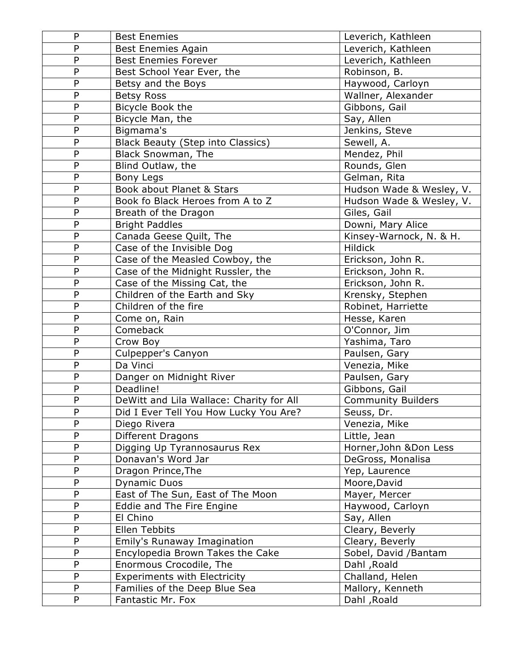| P              | <b>Best Enemies</b>                      | Leverich, Kathleen        |
|----------------|------------------------------------------|---------------------------|
| P              | <b>Best Enemies Again</b>                | Leverich, Kathleen        |
| P              | <b>Best Enemies Forever</b>              | Leverich, Kathleen        |
| P              | Best School Year Ever, the               | Robinson, B.              |
| P              | Betsy and the Boys                       | Haywood, Carloyn          |
| P              | <b>Betsy Ross</b>                        | Wallner, Alexander        |
| P              | Bicycle Book the                         | Gibbons, Gail             |
| P              | Bicycle Man, the                         | Say, Allen                |
| P              | Bigmama's                                | Jenkins, Steve            |
| P              | <b>Black Beauty (Step into Classics)</b> | Sewell, A.                |
| P              | Black Snowman, The                       | Mendez, Phil              |
| P              | Blind Outlaw, the                        | Rounds, Glen              |
| $\overline{P}$ | Bony Legs                                | Gelman, Rita              |
| P              | Book about Planet & Stars                | Hudson Wade & Wesley, V.  |
| $\overline{P}$ | Book fo Black Heroes from A to Z         | Hudson Wade & Wesley, V.  |
| P              | Breath of the Dragon                     | Giles, Gail               |
| P              | <b>Bright Paddles</b>                    | Downi, Mary Alice         |
| P              | Canada Geese Quilt, The                  | Kinsey-Warnock, N. & H.   |
| P              | Case of the Invisible Dog                | <b>Hildick</b>            |
| P              | Case of the Measled Cowboy, the          | Erickson, John R.         |
| P              | Case of the Midnight Russler, the        | Erickson, John R.         |
| P              | Case of the Missing Cat, the             | Erickson, John R.         |
| $\overline{P}$ | Children of the Earth and Sky            | Krensky, Stephen          |
| P              | Children of the fire                     | Robinet, Harriette        |
| P              | Come on, Rain                            | Hesse, Karen              |
| P              | Comeback                                 | O'Connor, Jim             |
| P              | Crow Boy                                 | Yashima, Taro             |
| $\overline{P}$ | Culpepper's Canyon                       | Paulsen, Gary             |
| P              | Da Vinci                                 | Venezia, Mike             |
| P              | Danger on Midnight River                 | Paulsen, Gary             |
| $\overline{P}$ | Deadline!                                | Gibbons, Gail             |
| P              | DeWitt and Lila Wallace: Charity for All | <b>Community Builders</b> |
| P              | Did I Ever Tell You How Lucky You Are?   | Seuss, Dr.                |
| P              | Diego Rivera                             | Venezia, Mike             |
| P              | Different Dragons                        | Little, Jean              |
| P              | Digging Up Tyrannosaurus Rex             | Horner, John & Don Less   |
| P              | Donavan's Word Jar                       | DeGross, Monalisa         |
| P              | Dragon Prince, The                       | Yep, Laurence             |
| P              | <b>Dynamic Duos</b>                      | Moore, David              |
| P              | East of The Sun, East of The Moon        | Mayer, Mercer             |
| P              | Eddie and The Fire Engine                | Haywood, Carloyn          |
| P              | El Chino                                 | Say, Allen                |
| P              | Ellen Tebbits                            | Cleary, Beverly           |
| P              | Emily's Runaway Imagination              | Cleary, Beverly           |
| P              | Encylopedia Brown Takes the Cake         | Sobel, David /Bantam      |
| P              | Enormous Crocodile, The                  | Dahl, Roald               |
| P              | <b>Experiments with Electricity</b>      | Challand, Helen           |
| P              | Families of the Deep Blue Sea            | Mallory, Kenneth          |
| P              | Fantastic Mr. Fox                        | Dahl, Roald               |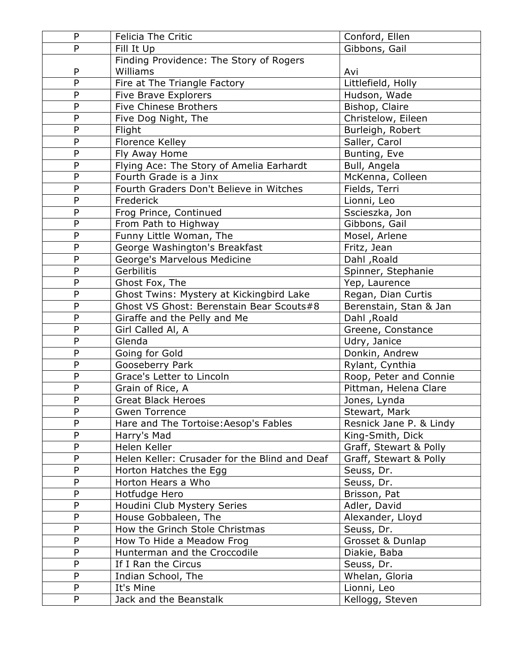| $\mathsf{P}$   | <b>Felicia The Critic</b>                     | Conford, Ellen          |
|----------------|-----------------------------------------------|-------------------------|
| P              | Fill It Up                                    | Gibbons, Gail           |
|                | Finding Providence: The Story of Rogers       |                         |
| P              | Williams                                      | Avi                     |
| $\overline{P}$ | Fire at The Triangle Factory                  | Littlefield, Holly      |
| $\mathsf{P}$   | <b>Five Brave Explorers</b>                   | Hudson, Wade            |
| P              | Five Chinese Brothers                         | Bishop, Claire          |
| P              | Five Dog Night, The                           | Christelow, Eileen      |
| P              | Flight                                        | Burleigh, Robert        |
| P              | Florence Kelley                               | Saller, Carol           |
| $\overline{P}$ | Fly Away Home                                 | Bunting, Eve            |
| $\mathsf{P}$   | Flying Ace: The Story of Amelia Earhardt      | Bull, Angela            |
| $\mathsf{P}$   | Fourth Grade is a Jinx                        | McKenna, Colleen        |
| $\mathsf{P}$   | Fourth Graders Don't Believe in Witches       | Fields, Terri           |
| $\overline{P}$ | Frederick                                     | Lionni, Leo             |
| $\mathsf{P}$   | Frog Prince, Continued                        | Sscieszka, Jon          |
| $\mathsf{P}$   | From Path to Highway                          | Gibbons, Gail           |
| P              | Funny Little Woman, The                       | Mosel, Arlene           |
| $\mathsf{P}$   | George Washington's Breakfast                 | Fritz, Jean             |
| $\mathsf{P}$   | George's Marvelous Medicine                   | Dahl, Roald             |
| P              | Gerbilitis                                    | Spinner, Stephanie      |
| $\mathsf{P}$   | Ghost Fox, The                                | Yep, Laurence           |
| P              | Ghost Twins: Mystery at Kickingbird Lake      | Regan, Dian Curtis      |
| $\overline{P}$ | Ghost VS Ghost: Berenstain Bear Scouts#8      | Berenstain, Stan & Jan  |
| $\mathsf{P}$   | Giraffe and the Pelly and Me                  | Dahl, Roald             |
| P              | Girl Called Al, A                             | Greene, Constance       |
| $\mathsf{P}$   | Glenda                                        | Udry, Janice            |
| $\mathsf{P}$   | Going for Gold                                | Donkin, Andrew          |
| $\mathsf{P}$   | Gooseberry Park                               | Rylant, Cynthia         |
| $\mathsf{P}$   | Grace's Letter to Lincoln                     | Roop, Peter and Connie  |
| $\mathsf{P}$   | Grain of Rice, A                              | Pittman, Helena Clare   |
| P              | <b>Great Black Heroes</b>                     | Jones, Lynda            |
| ${\sf P}$      | Gwen Torrence                                 | Stewart, Mark           |
| P              | Hare and The Tortoise: Aesop's Fables         | Resnick Jane P. & Lindy |
| P              | Harry's Mad                                   | King-Smith, Dick        |
| P              | Helen Keller                                  | Graff, Stewart & Polly  |
| P              | Helen Keller: Crusader for the Blind and Deaf | Graff, Stewart & Polly  |
| P              | Horton Hatches the Egg                        | Seuss, Dr.              |
| P              | Horton Hears a Who                            | Seuss, Dr.              |
| ${\sf P}$      | Hotfudge Hero                                 | Brisson, Pat            |
| ${\sf P}$      | Houdini Club Mystery Series                   | Adler, David            |
| P              | House Gobbaleen, The                          | Alexander, Lloyd        |
| P              | How the Grinch Stole Christmas                | Seuss, Dr.              |
| P              | How To Hide a Meadow Frog                     | Grosset & Dunlap        |
| P              | Hunterman and the Croccodile                  | Diakie, Baba            |
| $\mathsf{P}$   | If I Ran the Circus                           | Seuss, Dr.              |
| P              | Indian School, The                            | Whelan, Gloria          |
| P              | It's Mine                                     | Lionni, Leo             |
| P              | Jack and the Beanstalk                        | Kellogg, Steven         |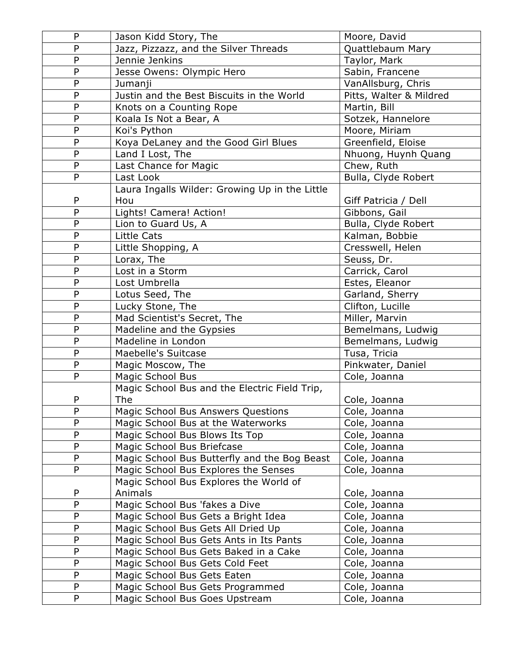| P            | Jason Kidd Story, The                          | Moore, David            |
|--------------|------------------------------------------------|-------------------------|
| P            | Jazz, Pizzazz, and the Silver Threads          | Quattlebaum Mary        |
| $\mathsf{P}$ | Jennie Jenkins                                 | Taylor, Mark            |
| P            | Jesse Owens: Olympic Hero                      | Sabin, Francene         |
| ${\sf P}$    | Jumanji                                        | VanAllsburg, Chris      |
| $\mathsf{P}$ | Justin and the Best Biscuits in the World      | Pitts, Walter & Mildred |
| P            | Knots on a Counting Rope                       | Martin, Bill            |
| $\mathsf{P}$ | Koala Is Not a Bear, A                         | Sotzek, Hannelore       |
| $\mathsf{P}$ | Koi's Python                                   | Moore, Miriam           |
| P            | Koya DeLaney and the Good Girl Blues           | Greenfield, Eloise      |
| P            | Land I Lost, The                               | Nhuong, Huynh Quang     |
| $\mathsf{P}$ | Last Chance for Magic                          | Chew, Ruth              |
| P            | Last Look                                      | Bulla, Clyde Robert     |
|              | Laura Ingalls Wilder: Growing Up in the Little |                         |
| P            | Hou                                            | Giff Patricia / Dell    |
| $\mathsf{P}$ | Lights! Camera! Action!                        | Gibbons, Gail           |
| P            | Lion to Guard Us, A                            | Bulla, Clyde Robert     |
| $\mathsf{P}$ | <b>Little Cats</b>                             | Kalman, Bobbie          |
| P            | Little Shopping, A                             | Cresswell, Helen        |
| P            | Lorax, The                                     | Seuss, Dr.              |
| P            | Lost in a Storm                                | Carrick, Carol          |
| $\mathsf{P}$ | Lost Umbrella                                  | Estes, Eleanor          |
| $\mathsf{P}$ | Lotus Seed, The                                | Garland, Sherry         |
| $\mathsf{P}$ | Lucky Stone, The                               | Clifton, Lucille        |
| $\mathsf{P}$ | Mad Scientist's Secret, The                    | Miller, Marvin          |
| P            | Madeline and the Gypsies                       | Bemelmans, Ludwig       |
| $\mathsf{P}$ | Madeline in London                             | Bemelmans, Ludwig       |
| P            | Maebelle's Suitcase                            | Tusa, Tricia            |
| P            | Magic Moscow, The                              | Pinkwater, Daniel       |
| P            | Magic School Bus                               | Cole, Joanna            |
|              | Magic School Bus and the Electric Field Trip,  |                         |
| P            | The                                            | Cole, Joanna            |
| P            | Magic School Bus Answers Questions             | Cole, Joanna            |
| P            | Magic School Bus at the Waterworks             | Cole, Joanna            |
| P            | Magic School Bus Blows Its Top                 | Cole, Joanna            |
| $\mathsf{P}$ | Magic School Bus Briefcase                     | Cole, Joanna            |
| P            | Magic School Bus Butterfly and the Bog Beast   | Cole, Joanna            |
| P            | Magic School Bus Explores the Senses           | Cole, Joanna            |
|              | Magic School Bus Explores the World of         |                         |
| P            | Animals                                        | Cole, Joanna            |
| P            | Magic School Bus 'fakes a Dive                 | Cole, Joanna            |
| P            | Magic School Bus Gets a Bright Idea            | Cole, Joanna            |
| P            | Magic School Bus Gets All Dried Up             | Cole, Joanna            |
| P            | Magic School Bus Gets Ants in Its Pants        | Cole, Joanna            |
| P            | Magic School Bus Gets Baked in a Cake          | Cole, Joanna            |
| P            | Magic School Bus Gets Cold Feet                | Cole, Joanna            |
| $\mathsf{P}$ | Magic School Bus Gets Eaten                    | Cole, Joanna            |
| P            | Magic School Bus Gets Programmed               | Cole, Joanna            |
| P            | Magic School Bus Goes Upstream                 | Cole, Joanna            |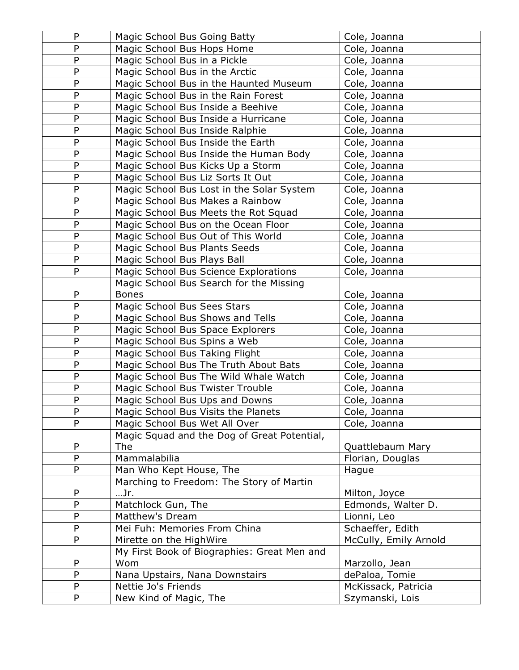| P              | Magic School Bus Going Batty                                              | Cole, Joanna                 |
|----------------|---------------------------------------------------------------------------|------------------------------|
| P              | Magic School Bus Hops Home                                                | Cole, Joanna                 |
| P              | Magic School Bus in a Pickle                                              | Cole, Joanna                 |
| P              | Magic School Bus in the Arctic                                            | Cole, Joanna                 |
| P              | Magic School Bus in the Haunted Museum                                    | Cole, Joanna                 |
| P              | Magic School Bus in the Rain Forest                                       | Cole, Joanna                 |
| $\mathsf{P}$   | Magic School Bus Inside a Beehive                                         | Cole, Joanna                 |
| P              | Magic School Bus Inside a Hurricane                                       | Cole, Joanna                 |
| P              | Magic School Bus Inside Ralphie                                           | Cole, Joanna                 |
| P              | Magic School Bus Inside the Earth                                         | Cole, Joanna                 |
| $\overline{P}$ | Magic School Bus Inside the Human Body                                    | Cole, Joanna                 |
| P              | Magic School Bus Kicks Up a Storm                                         | Cole, Joanna                 |
| P              | Magic School Bus Liz Sorts It Out                                         | Cole, Joanna                 |
| P              | Magic School Bus Lost in the Solar System                                 | Cole, Joanna                 |
| P              | Magic School Bus Makes a Rainbow                                          | Cole, Joanna                 |
| P              | Magic School Bus Meets the Rot Squad                                      | Cole, Joanna                 |
| ${\sf P}$      | Magic School Bus on the Ocean Floor                                       | Cole, Joanna                 |
| P              | Magic School Bus Out of This World                                        | Cole, Joanna                 |
| P              | Magic School Bus Plants Seeds                                             | Cole, Joanna                 |
| P              | Magic School Bus Plays Ball                                               | Cole, Joanna                 |
| P              | Magic School Bus Science Explorations                                     | Cole, Joanna                 |
|                | Magic School Bus Search for the Missing                                   |                              |
| P              | <b>Bones</b>                                                              | Cole, Joanna                 |
| P              | Magic School Bus Sees Stars                                               | Cole, Joanna                 |
| P              | Magic School Bus Shows and Tells                                          | Cole, Joanna                 |
| P              | Magic School Bus Space Explorers                                          | Cole, Joanna                 |
| $\mathsf{P}$   | Magic School Bus Spins a Web                                              | Cole, Joanna                 |
| P<br>P         | Magic School Bus Taking Flight                                            | Cole, Joanna                 |
|                | Magic School Bus The Truth About Bats                                     | Cole, Joanna                 |
| P<br>P         | Magic School Bus The Wild Whale Watch<br>Magic School Bus Twister Trouble | Cole, Joanna<br>Cole, Joanna |
| ${\sf P}$      | Magic School Bus Ups and Downs                                            |                              |
| P              | Magic School Bus Visits the Planets                                       | Cole, Joanna                 |
| P              | Magic School Bus Wet All Over                                             | Cole, Joanna<br>Cole, Joanna |
|                | Magic Squad and the Dog of Great Potential,                               |                              |
| P              | The                                                                       | Quattlebaum Mary             |
| $\mathsf{P}$   | Mammalabilia                                                              | Florian, Douglas             |
| P              | Man Who Kept House, The                                                   | Hague                        |
|                | Marching to Freedom: The Story of Martin                                  |                              |
| P              | …Jr.                                                                      | Milton, Joyce                |
| P              | Matchlock Gun, The                                                        | Edmonds, Walter D.           |
| P              | Matthew's Dream                                                           | Lionni, Leo                  |
| P              | Mei Fuh: Memories From China                                              | Schaeffer, Edith             |
| P              | Mirette on the HighWire                                                   | McCully, Emily Arnold        |
|                | My First Book of Biographies: Great Men and                               |                              |
| P              | Wom                                                                       | Marzollo, Jean               |
| P              | Nana Upstairs, Nana Downstairs                                            | dePaloa, Tomie               |
| P              | Nettie Jo's Friends                                                       | McKissack, Patricia          |
| P              | New Kind of Magic, The                                                    | Szymanski, Lois              |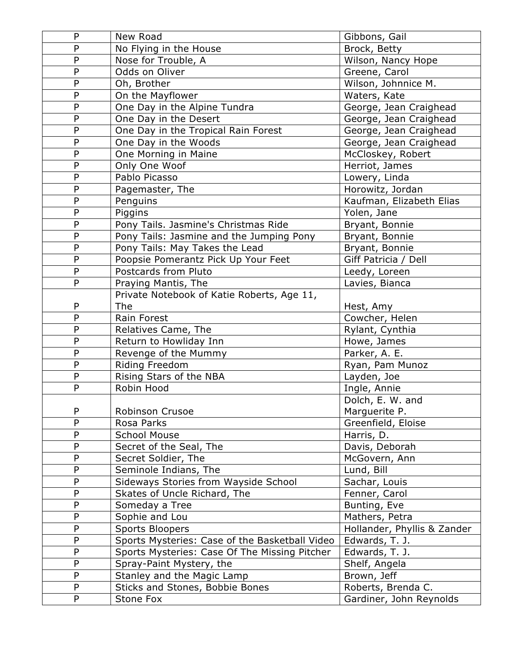| P              | New Road                                       | Gibbons, Gail               |
|----------------|------------------------------------------------|-----------------------------|
| P              | No Flying in the House                         | Brock, Betty                |
| P              | Nose for Trouble, A                            | Wilson, Nancy Hope          |
| P              | Odds on Oliver                                 | Greene, Carol               |
| $\overline{P}$ | Oh, Brother                                    | Wilson, Johnnice M.         |
| P              | On the Mayflower                               | Waters, Kate                |
| P              | One Day in the Alpine Tundra                   | George, Jean Craighead      |
| P              | One Day in the Desert                          | George, Jean Craighead      |
| P              | One Day in the Tropical Rain Forest            | George, Jean Craighead      |
| P              | One Day in the Woods                           | George, Jean Craighead      |
| P              | One Morning in Maine                           | McCloskey, Robert           |
| P              | Only One Woof                                  | Herriot, James              |
| $\overline{P}$ | Pablo Picasso                                  | Lowery, Linda               |
| P              | Pagemaster, The                                | Horowitz, Jordan            |
| P              | Penguins                                       | Kaufman, Elizabeth Elias    |
| P              | Piggins                                        | Yolen, Jane                 |
| P              | Pony Tails. Jasmine's Christmas Ride           | Bryant, Bonnie              |
| $\overline{P}$ | Pony Tails: Jasmine and the Jumping Pony       | Bryant, Bonnie              |
| P              | Pony Tails: May Takes the Lead                 | Bryant, Bonnie              |
| P              | Poopsie Pomerantz Pick Up Your Feet            | Giff Patricia / Dell        |
| $\overline{P}$ | Postcards from Pluto                           | Leedy, Loreen               |
| P              | Praying Mantis, The                            | Lavies, Bianca              |
|                | Private Notebook of Katie Roberts, Age 11,     |                             |
| P              | The                                            | Hest, Amy                   |
| P              | Rain Forest                                    | Cowcher, Helen              |
| P              | Relatives Came, The                            | Rylant, Cynthia             |
| P              | Return to Howliday Inn                         | Howe, James                 |
| P              | Revenge of the Mummy                           | Parker, A. E.               |
| P              | Riding Freedom                                 | Ryan, Pam Munoz             |
| P              | Rising Stars of the NBA                        | Layden, Joe                 |
| $\overline{P}$ | Robin Hood                                     | Ingle, Annie                |
|                |                                                | Dolch, E. W. and            |
| P              | Robinson Crusoe                                | Marguerite P.               |
| P              | Rosa Parks                                     | Greenfield, Eloise          |
| P              | <b>School Mouse</b>                            | Harris, D.                  |
| $\overline{P}$ | Secret of the Seal, The                        | Davis, Deborah              |
| P              | Secret Soldier, The                            | McGovern, Ann               |
| P              | Seminole Indians, The                          | Lund, Bill                  |
| P              | Sideways Stories from Wayside School           | Sachar, Louis               |
| P              | Skates of Uncle Richard, The                   | Fenner, Carol               |
| P              | Someday a Tree                                 | Bunting, Eve                |
| P              | Sophie and Lou                                 | Mathers, Petra              |
| P              | <b>Sports Bloopers</b>                         | Hollander, Phyllis & Zander |
| P              | Sports Mysteries: Case of the Basketball Video | Edwards, T. J.              |
| P              | Sports Mysteries: Case Of The Missing Pitcher  | Edwards, T. J.              |
| P              | Spray-Paint Mystery, the                       | Shelf, Angela               |
| P              | Stanley and the Magic Lamp                     | Brown, Jeff                 |
| P              | Sticks and Stones, Bobbie Bones                | Roberts, Brenda C.          |
| P              | Stone Fox                                      | Gardiner, John Reynolds     |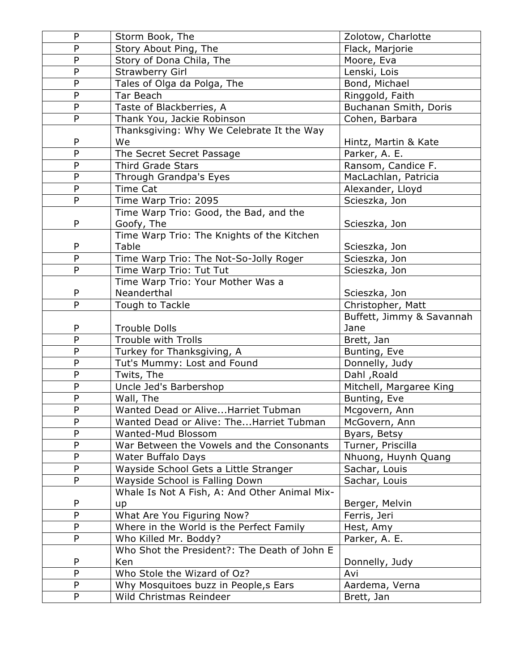| P              | Storm Book, The                                                  | Zolotow, Charlotte        |
|----------------|------------------------------------------------------------------|---------------------------|
| P              | Story About Ping, The                                            | Flack, Marjorie           |
| P              | Story of Dona Chila, The                                         | Moore, Eva                |
| P              | <b>Strawberry Girl</b>                                           | Lenski, Lois              |
| P              | Tales of Olga da Polga, The                                      | Bond, Michael             |
| P              | Tar Beach                                                        | Ringgold, Faith           |
| P              | Taste of Blackberries, A                                         | Buchanan Smith, Doris     |
| $\overline{P}$ | Thank You, Jackie Robinson                                       | Cohen, Barbara            |
|                | Thanksgiving: Why We Celebrate It the Way                        |                           |
| P              | We                                                               | Hintz, Martin & Kate      |
| P              | The Secret Secret Passage                                        | Parker, A. E.             |
| P              | <b>Third Grade Stars</b>                                         | Ransom, Candice F.        |
| P              | Through Grandpa's Eyes                                           | MacLachlan, Patricia      |
| P              | <b>Time Cat</b>                                                  | Alexander, Lloyd          |
| P              | Time Warp Trio: 2095                                             | Scieszka, Jon             |
|                | Time Warp Trio: Good, the Bad, and the                           |                           |
| P              | Goofy, The                                                       | Scieszka, Jon             |
|                | Time Warp Trio: The Knights of the Kitchen                       |                           |
| P              | Table                                                            | Scieszka, Jon             |
| $\overline{P}$ | Time Warp Trio: The Not-So-Jolly Roger                           | Scieszka, Jon             |
| P              | Time Warp Trio: Tut Tut                                          | Scieszka, Jon             |
|                | Time Warp Trio: Your Mother Was a                                |                           |
| P              | Neanderthal                                                      | Scieszka, Jon             |
| P              | Tough to Tackle                                                  | Christopher, Matt         |
|                |                                                                  | Buffett, Jimmy & Savannah |
| P              | <b>Trouble Dolls</b>                                             | Jane                      |
| $\overline{P}$ | Trouble with Trolls                                              | Brett, Jan                |
| P              | Turkey for Thanksgiving, A                                       | Bunting, Eve              |
|                |                                                                  |                           |
| P              | Tut's Mummy: Lost and Found                                      | Donnelly, Judy            |
| P              | Twits, The                                                       | Dahl, Roald               |
| P              | Uncle Jed's Barbershop                                           | Mitchell, Margaree King   |
| $\overline{P}$ | Wall, The                                                        | Bunting, Eve              |
| P              | Wanted Dead or Alive Harriet Tubman                              | Mcgovern, Ann             |
| P              | Wanted Dead or Alive: TheHarriet Tubman                          | McGovern, Ann             |
| P              | Wanted-Mud Blossom                                               | Byars, Betsy              |
| P              | War Between the Vowels and the Consonants                        | Turner, Priscilla         |
| P              | <b>Water Buffalo Days</b>                                        | Nhuong, Huynh Quang       |
| P              | Wayside School Gets a Little Stranger                            | Sachar, Louis             |
| P              | Wayside School is Falling Down                                   | Sachar, Louis             |
|                | Whale Is Not A Fish, A: And Other Animal Mix-                    |                           |
| P              | up                                                               | Berger, Melvin            |
| P              | What Are You Figuring Now?                                       | Ferris, Jeri              |
| P              | Where in the World is the Perfect Family                         | Hest, Amy                 |
| P              | Who Killed Mr. Boddy?                                            | Parker, A. E.             |
|                | Who Shot the President?: The Death of John E                     |                           |
| P              | Ken                                                              | Donnelly, Judy            |
| P              | Who Stole the Wizard of Oz?                                      | Avi                       |
| P<br>P         | Why Mosquitoes buzz in People, s Ears<br>Wild Christmas Reindeer | Aardema, Verna            |